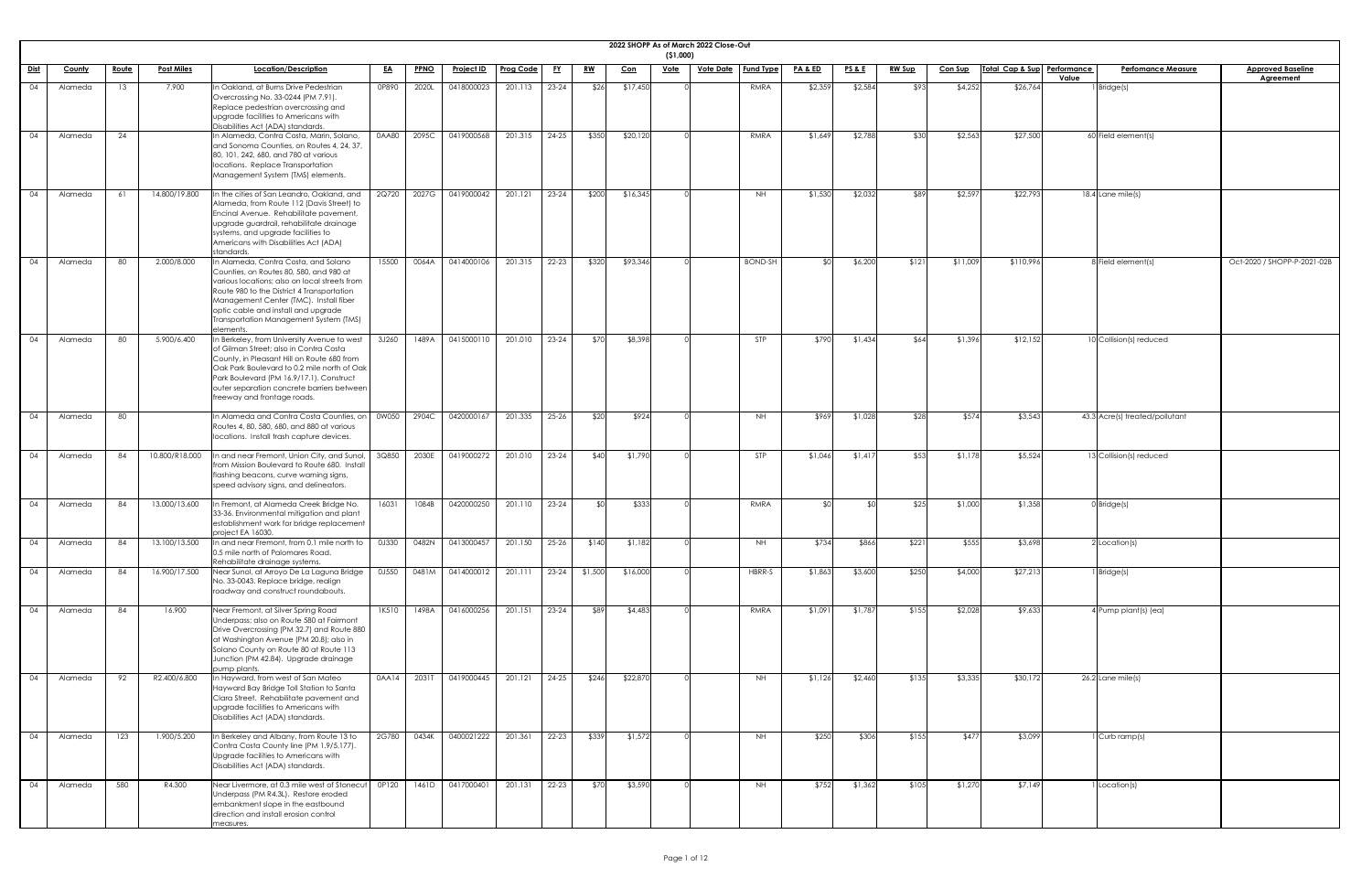|             |                    |              |                                |                                                                                                                                                                                                                                                                                                                       |                |                |                          |                    |                  |                  |                     | ( \$1,000)  | 2022 SHOPP As of March 2022 Close-Out |                |                    |                  |                |                  |                             |       |                                |                                              |
|-------------|--------------------|--------------|--------------------------------|-----------------------------------------------------------------------------------------------------------------------------------------------------------------------------------------------------------------------------------------------------------------------------------------------------------------------|----------------|----------------|--------------------------|--------------------|------------------|------------------|---------------------|-------------|---------------------------------------|----------------|--------------------|------------------|----------------|------------------|-----------------------------|-------|--------------------------------|----------------------------------------------|
| <u>Dist</u> | <b>County</b>      | <u>Route</u> | <u>Post Miles</u>              | Location/Description                                                                                                                                                                                                                                                                                                  | <u>EA</u>      | <b>PPNO</b>    | <b>Project ID</b>        | Prog Code          | <u>FY</u>        | <u>RW</u>        | <u>Con</u>          | <u>Vote</u> | <u>Vote Date</u>   Fund Type          |                | <b>PA &amp; ED</b> | <u>PS&amp;E</u>  | <b>RW Sup</b>  | <b>Con Sup</b>   | Total Cap & Sup Performance | Value | <b>Perfomance Measure</b>      | <b>Approved Baseline</b><br><b>Agreement</b> |
| 04          | Alameda            | 13           | 7.900                          | n Oakland, at Burns Drive Pedestrian<br>Overcrossing No. 33-0244 (PM 7.91).<br>Replace pedestrian overcrossing and<br>upgrade facilities to Americans with<br>Disabilities Act (ADA) standards.                                                                                                                       | 0P890          | 2020L          | 0418000023               | 201.113            | $23 - 24$        | \$26             | \$17,450            |             |                                       | RMRA           | \$2,359            | \$2,584          | \$93           | \$4,252          | \$26,764                    |       | $1$ Bridge(s)                  |                                              |
| 04          | Alameda            | 24           |                                | In Alameda, Contra Costa, Marin, Solano,<br>and Sonoma Counties, on Routes 4, 24, 37,<br>80, 101, 242, 680, and 780 at various<br>locations. Replace Transportation<br>Management System (TMS) elements.                                                                                                              | 0AA80          | 2095C          | 0419000568               | 201.315            | $24 - 25$        | \$350            | \$20,120            |             |                                       | RMRA           | \$1,649            | \$2,788          | \$30           | \$2,563          | \$27,500                    |       | 60 Field element(s)            |                                              |
| 04          | Alameda            | -61          | 14.800/19.800                  | In the cities of San Leandro, Oakland, and<br>Alameda, from Route 112 (Davis Street) to<br>Encinal Avenue. Rehabilitate pavement,<br>upgrade guardrail, rehabilitate drainage<br>systems, and upgrade facilities to<br>Americans with Disabilities Act (ADA)<br>standards                                             | 2Q720          | 2027G          | 0419000042               | 201.121            | $23 - 24$        | \$200            | \$16,345            |             |                                       | <b>NH</b>      | \$1,530            | \$2,032          | \$89           | \$2,597          | \$22,793                    |       | 18.4 Lane mile(s)              |                                              |
| 04          | Alameda            | 80           | 2.000/8.000                    | In Alameda, Contra Costa, and Solano<br>Counties, on Routes 80, 580, and 980 at<br>various locations; also on local streets from<br>Route 980 to the District 4 Transportation<br>Management Center (TMC). Install fiber<br>optic cable and install and upgrade<br>Transportation Management System (TMS)<br>elements | 15500          | 0064A          | 0414000106               | 201.315            | $22 - 23$        | \$320            | \$93,346            |             |                                       | <b>BOND-SH</b> |                    | \$6,200          | \$121          | \$11,009         | \$110,996                   |       | 8 Field element(s)             | Oct-2020 / SHOPP-P-2021-02B                  |
| 04          | Alameda            | -80          | 5.900/6.400                    | n Berkeley, from University Avenue to west<br>of Gilman Street; also in Contra Costa<br>County, in Pleasant Hill on Route 680 from<br>Oak Park Boulevard to 0.2 mile north of Oak<br>Park Boulevard (PM 16.9/17.1). Construct<br>outer separation concrete barriers between<br>freeway and frontage roads.            | 3J260          | 1489A          | 0415000110               | 201.010            | $23 - 24$        | \$70             | \$8,398             |             |                                       | STP            | \$790              | \$1,434          | \$64           | \$1,396          | \$12,152                    |       | 10 Collision(s) reduced        |                                              |
| 04          | Alameda            | 80           |                                | In Alameda and Contra Costa Counties, on<br>Routes 4, 80, 580, 680, and 880 at various<br>locations. Install trash capture devices.                                                                                                                                                                                   | 0W050          | 2904C          | 0420000167               | 201.335            | $25 - 26$        | \$20             | \$924               |             |                                       | <b>NH</b>      | \$969              | \$1,028          | \$28           | \$574            | \$3,543                     |       | 43.3 Acre(s) treated/pollutant |                                              |
| 04          | Alameda            | -84          | 10.800/R18.000                 | In and near Fremont, Union City, and Sunol,<br>from Mission Boulevard to Route 680. Install<br>flashing beacons, curve warning signs,<br>speed advisory signs, and delineators.                                                                                                                                       | 3Q850          | 2030E          | 0419000272               | 201.010            | $23 - 24$        | \$40             | \$1,790             |             |                                       | <b>STP</b>     | \$1,046            | \$1,417          | \$53           | \$1,178          | \$5,524                     |       | 13 Collision(s) reduced        |                                              |
| 04          | Alameda            | -84          | 13.000/13.600                  | In Fremont, at Alameda Creek Bridge No.<br>33-36. Environmental mitigation and plant<br>establishment work for bridge replacement<br>project EA 16030.                                                                                                                                                                | 16031          | 1084B          | 0420000250               | 201.110            | $23 - 24$        |                  | \$333               |             |                                       | RMRA           |                    |                  | \$25           | \$1,000          | \$1,358                     |       | $0$ Bridge(s)                  |                                              |
| 04<br>04    | Alameda<br>Alameda | -84<br>84    | 13.100/13.500<br>16.900/17.500 | n and near Fremont, from 0.1 mile north to<br>0.5 mile north of Palomares Road.<br>Rehabilitate drainage systems.<br>Near Sunol, at Arroyo De La Laguna Bridge<br>No. 33-0043. Replace bridge, realign                                                                                                                | 0J330<br>0J550 | 0482N<br>0481M | 0413000457<br>0414000012 | 201.150<br>201.111 | 25-26<br>$23-24$ | \$140<br>\$1,500 | \$1,182<br>\$16,000 |             |                                       | NH.<br>HBRR-S  | \$734<br>\$1,863   | \$866<br>\$3,600 | \$221<br>\$250 | \$555<br>\$4,000 | \$3,698<br>\$27,213         |       | $2$ Location(s)<br>1 Bridge(s) |                                              |
| 04          | Alameda            | 84           | 16.900                         | roadway and construct roundabouts.<br>Near Fremont, at Silver Spring Road<br>Underpass; also on Route 580 at Fairmont<br>Drive Overcrossing (PM 32.7) and Route 880<br>at Washington Avenue (PM 20.8); also in<br>Solano County on Route 80 at Route 113<br>Junction (PM 42.84). Upgrade drainage<br>pump plants.     | 1K510          | 1498A          | 0416000256               | 201.151            | $23 - 24$        | \$89             | \$4,483             |             |                                       | RMRA           | \$1,091            | \$1,787          | \$155          | \$2,028          | \$9,633                     |       | 4 Pump plant(s) (ea)           |                                              |
| 04          | Alameda            | 92           | R2.400/6.800                   | n Hayward, from west of San Mateo<br>Hayward Bay Bridge Toll Station to Santa<br>Clara Street. Rehabilitate pavement and<br>upgrade facilities to Americans with<br>Disabilities Act (ADA) standards.                                                                                                                 | 0AA14          | 2031T          | 0419000445               | 201.121            | $24 - 25$        | \$246            | \$22,870            |             |                                       | <b>NH</b>      | \$1,126            | \$2,460          | \$135          | \$3,335          | \$30,172                    |       | $26.2$ Lane mile(s)            |                                              |
| 04          | Alameda            | 123          | 1.900/5.200                    | In Berkeley and Albany, from Route 13 to<br>Contra Costa County line (PM 1.9/5.177).<br>Upgrade facilities to Americans with<br>Disabilities Act (ADA) standards.                                                                                                                                                     | 2G780          | 0434K          | 0400021222               | 201.361            | $22-23$          | \$339            | \$1,572             |             |                                       | <b>NH</b>      | \$250              | \$306            | \$155          | \$477            | \$3,099                     |       | 1 Curb ramp(s)                 |                                              |
| 04          | Alameda            | 580          | R4.300                         | Near Livermore, at 0.3 mile west of Stonecut<br>Underpass (PM R4.3L). Restore eroded<br>embankment slope in the eastbound<br>direction and install erosion control<br>measures.                                                                                                                                       | OP120          |                | 1461D 0417000401         | 201.131            | $22 - 23$        | \$70             | \$3,590             |             |                                       | <b>NH</b>      | \$752              | \$1,362          | \$105          | \$1,270          | \$7,149                     |       | 1 Location(s)                  |                                              |

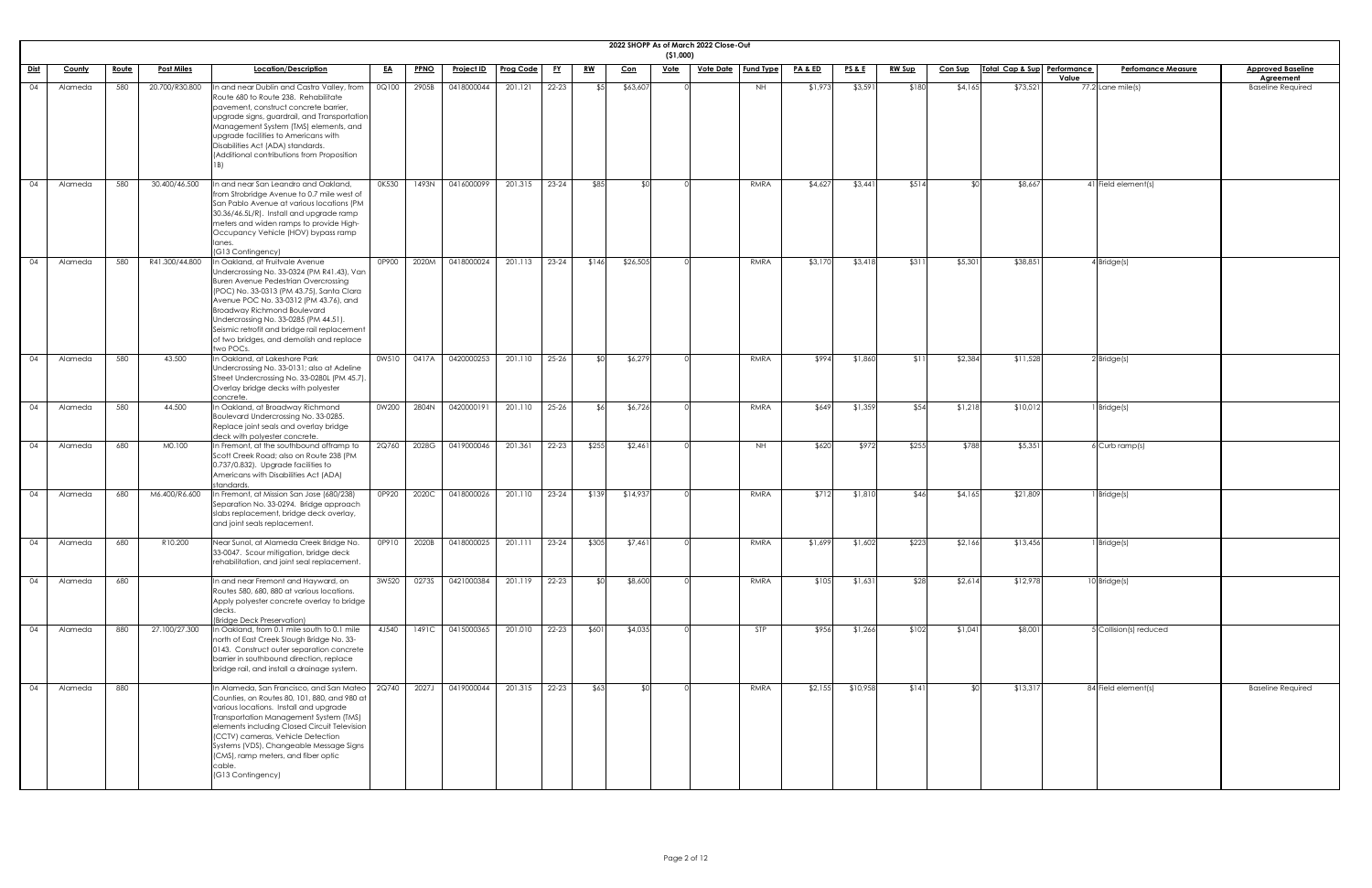|             |               |              |                   |                                                                                                                                                                                                                                                                                                                                                                                                      |           |             |                   |                  |           |           |            | ( \$1,000)  | 2022 SHOPP As of March 2022 Close-Out |            |         |                 |               |                |                             |       |                           |                                       |
|-------------|---------------|--------------|-------------------|------------------------------------------------------------------------------------------------------------------------------------------------------------------------------------------------------------------------------------------------------------------------------------------------------------------------------------------------------------------------------------------------------|-----------|-------------|-------------------|------------------|-----------|-----------|------------|-------------|---------------------------------------|------------|---------|-----------------|---------------|----------------|-----------------------------|-------|---------------------------|---------------------------------------|
| <u>Dist</u> | <b>County</b> | <u>Route</u> | <u>Post Miles</u> | <b>Location/Description</b>                                                                                                                                                                                                                                                                                                                                                                          | <u>EA</u> | <b>PPNO</b> | <b>Project ID</b> | <b>Prog Code</b> | <u>FY</u> | <u>RW</u> | <u>Con</u> | <u>Vote</u> | <u>Vote Date   Fund Type</u>          |            | PA&ED   | <u>PS&amp;E</u> | <u>RW Sup</u> | <b>Con Sup</b> | Total Cap & Sup Performance | Value | <b>Perfomance Measure</b> | <b>Approved Baseline</b><br>Agreement |
| 04          | Alameda       | 580          | 20.700/R30.800    | In and near Dublin and Castro Valley, from<br>Route 680 to Route 238. Rehabilitate<br>pavement, construct concrete barrier,<br>upgrade signs, guardrail, and Transportation<br>Management System (TMS) elements, and<br>upgrade facilities to Americans with<br>Disabilities Act (ADA) standards.<br>(Additional contributions from Proposition                                                      | 0Q100     | 2905B       | 0418000044        | 201.121          | $22 - 23$ | \$5       | \$63,607   |             |                                       | <b>NH</b>  | \$1,973 | \$3,591         | \$180         | \$4,165        | \$73,521                    |       | $77.2$ Lane mile(s)       | <b>Baseline Required</b>              |
| 04          | Alameda       | 580          | 30.400/46.500     | In and near San Leandro and Oakland,<br>from Strobridge Avenue to 0.7 mile west of<br>San Pablo Avenue at various locations (PM<br>30.36/46.5L/R). Install and upgrade ramp<br>meters and widen ramps to provide High-<br>Occupancy Vehicle (HOV) bypass ramp<br>lanes.<br>(G13 Contingency)                                                                                                         | 0K530     | 1493N       | 0416000099        | 201.315          | $23 - 24$ | \$85      |            |             |                                       | RMRA       | \$4,627 | \$3,441         | \$514         | \$∩            | \$8,667                     |       | 41 Field element(s)       |                                       |
| 04          | Alameda       | 580          | R41.300/44.800    | In Oakland, at Fruitvale Avenue<br>Undercrossing No. 33-0324 (PM R41.43), Van<br>Buren Avenue Pedestrian Overcrossing<br>(POC) No. 33-0313 (PM 43.75), Santa Clara<br>Avenue POC No. 33-0312 (PM 43.76), and<br><b>Broadway Richmond Boulevard</b><br>Undercrossing No. 33-0285 (PM 44.51).<br>Seismic retrofit and bridge rail replacement<br>of two bridges, and demolish and replace<br>two POCs. | 0P900     | 2020M       | 0418000024        | 201.113          | $23 - 24$ | \$146     | \$26,505   |             |                                       | RMRA       | \$3,170 | \$3,418         | \$311         | \$5,301        | \$38,851                    |       | $4$ Bridge(s)             |                                       |
| 04          | Alameda       | 580          | 43.500            | In Oakland, at Lakeshore Park<br>Undercrossing No. 33-0131; also at Adeline<br>Street Undercrossing No. 33-0280L (PM 45.7).<br>Overlay bridge decks with polyester<br>concrete.                                                                                                                                                                                                                      | 0W510     | 0417A       | 0420000253        | 201.110          | $25 - 26$ |           | \$6,27     |             |                                       | RMRA       | \$994   | \$1,860         | \$11          | \$2,384        | \$11,528                    |       | $2$ Bridge(s)             |                                       |
| 04          | Alameda       | 580          | 44.500            | In Oakland, at Broadway Richmond<br>Boulevard Undercrossing No. 33-0285.<br>Replace joint seals and overlay bridge<br>deck with polyester concrete.                                                                                                                                                                                                                                                  | 0W200     | 2804N       | 0420000191        | 201.110          | $25 - 26$ | _\$ራ∣     | \$6,726    |             |                                       | RMRA       | \$649   | \$1,359         | \$54          | \$1,218        | \$10,012                    |       | Bridge(s)                 |                                       |
| 04          | Alameda       | 680          | M0.100            | In Fremont, at the southbound offramp to<br>Scott Creek Road; also on Route 238 (PM<br>0.737/0.832). Upgrade facilities to<br>Americans with Disabilities Act (ADA)<br>standards.                                                                                                                                                                                                                    | 2Q760     | 2028G       | 0419000046        | 201.361          | $22 - 23$ | \$255     | \$2,461    |             |                                       | <b>NH</b>  | \$620   | \$972           | \$255         | \$788          | \$5,351                     |       | $6$ Curb ramp(s)          |                                       |
| 04          | Alameda       | 680          | M6.400/R6.600     | In Fremont, at Mission San Jose (680/238)<br>Separation No. 33-0294. Bridge approach<br>slabs replacement, bridge deck overlay,<br>and joint seals replacement.                                                                                                                                                                                                                                      | 0P920     | 2020C       | 0418000026        | 201.110          | $23 - 24$ | \$139     | \$14,937   |             |                                       | RMRA       | \$712   | \$1,810         | \$46          | \$4,165        | \$21,809                    |       | Bridge(s)                 |                                       |
| 04          | Alameda       | 680          | R10.200           | Near Sunol, at Alameda Creek Bridge No.<br>33-0047. Scour mitigation, bridge deck<br>rehabilitation, and joint seal replacement.                                                                                                                                                                                                                                                                     | OP910     | 2020B       | 0418000025        | 201.111          | $23 - 24$ | \$305     | \$7,461    |             |                                       | RMRA       | \$1,699 | \$1,602         | \$223         | \$2,166        | \$13,456                    |       | Bridge(s)                 |                                       |
| 04          | Alameda       | 680          |                   | In and near Fremont and Hayward, on<br>Routes 580, 680, 880 at various locations.<br>Apply polyester concrete overlay to bridge<br><b>I</b> decks<br>(Bridge Deck Preservation)                                                                                                                                                                                                                      | 3W520     | 0273S       | 0421000384        | 201.119          | $22 - 23$ | \$ ሮ      | \$8,600    |             |                                       | RMRA       | \$105   | \$1,631         | \$28          | \$2,614        | \$12,978                    |       | $10$ Bridge(s)            |                                       |
| 04          | Alameda       | 880          | 27.100/27.300     | In Oakland, from 0.1 mile south to 0.1 mile<br>north of East Creek Slough Bridge No. 33-<br>0143. Construct outer separation concrete<br>barrier in southbound direction, replace<br>bridge rail, and install a drainage system.                                                                                                                                                                     | 4J540     | 1491C       | 0415000365        | 201.010          | $22 - 23$ | \$601     | \$4,035    |             |                                       | <b>STP</b> | \$956   | \$1,266         | \$102         | \$1,041        | \$8,001                     |       | 5 Collision(s) reduced    |                                       |
| 04          | Alameda       | 880          |                   | In Alameda, San Francisco, and San Mateo<br>Counties, on Routes 80, 101, 880, and 980 at<br>various locations. Install and upgrade<br>Transportation Management System (TMS)<br>elements including Closed Circuit Television<br>(CCTV) cameras, Vehicle Detection<br>Systems (VDS), Changeable Message Signs<br>(CMS), ramp meters, and fiber optic<br>cable.<br>(G13 Contingency)                   | 2Q740     | 2027J       | 0419000044        | 201.315          | $22 - 23$ | \$63      |            |             |                                       | RMRA       | \$2,155 | \$10,958        | \$141         | \$∩            | \$13,317                    |       | 84 Field element(s)       | <b>Baseline Required</b>              |

| <u>ne</u>      |  |  |
|----------------|--|--|
| $\overline{b}$ |  |  |
|                |  |  |
|                |  |  |
|                |  |  |
|                |  |  |
|                |  |  |
|                |  |  |
|                |  |  |
|                |  |  |
|                |  |  |
|                |  |  |
|                |  |  |
|                |  |  |
|                |  |  |
|                |  |  |
|                |  |  |
|                |  |  |
|                |  |  |
|                |  |  |
|                |  |  |
|                |  |  |
|                |  |  |
|                |  |  |
|                |  |  |
|                |  |  |
|                |  |  |
|                |  |  |
|                |  |  |
|                |  |  |
|                |  |  |
|                |  |  |
|                |  |  |
| ۱              |  |  |
|                |  |  |
|                |  |  |
|                |  |  |
|                |  |  |
|                |  |  |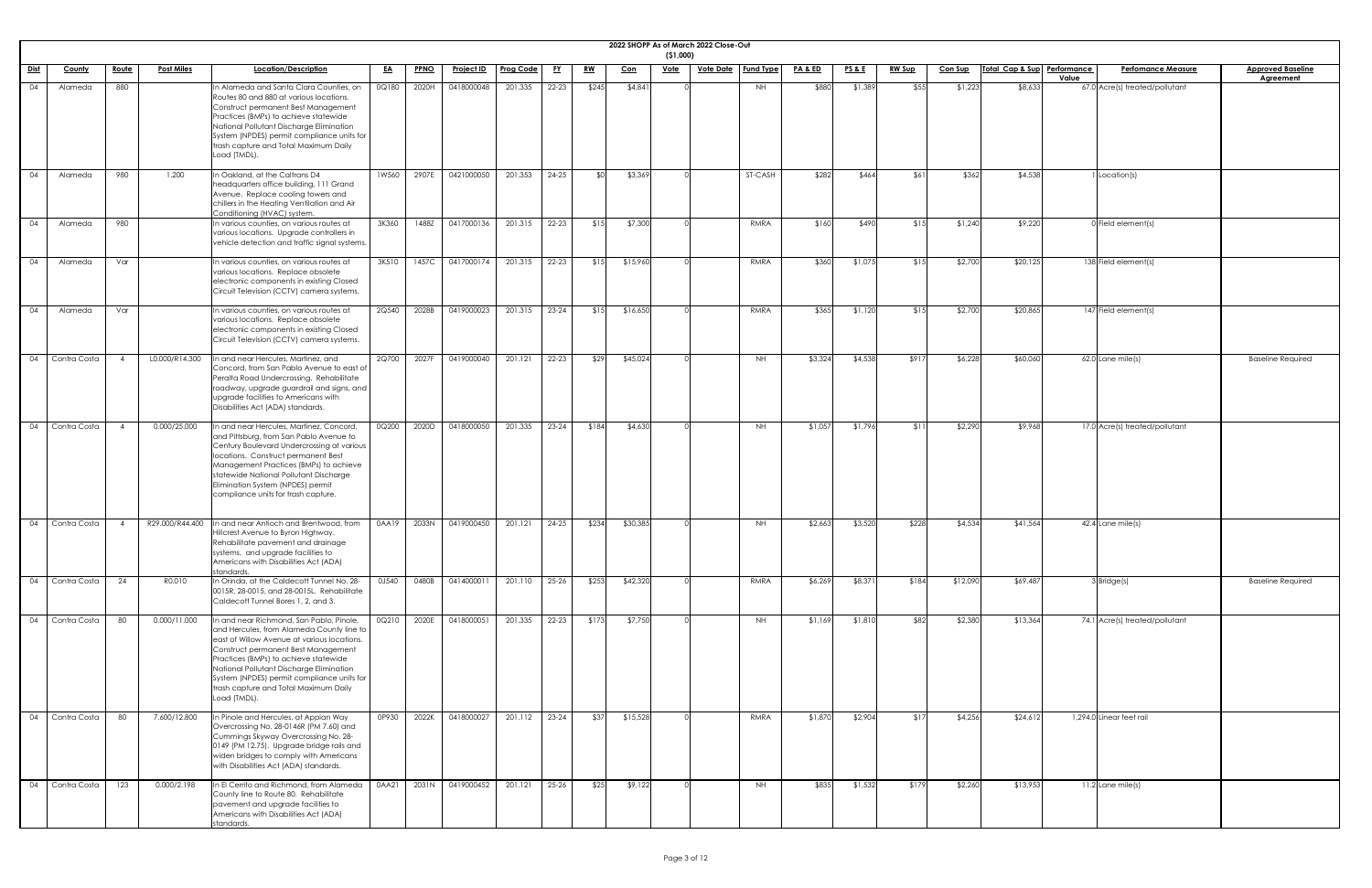|                       |                            |                                                                                                                                                                                                                                                                                                                                                                         |           |             |                   |                  |           |           |          | ( \$1,000)  | 2022 SHOPP As of March 2022 Close-Out |                  |         |                 |               |                |                             |                                    |                                              |
|-----------------------|----------------------------|-------------------------------------------------------------------------------------------------------------------------------------------------------------------------------------------------------------------------------------------------------------------------------------------------------------------------------------------------------------------------|-----------|-------------|-------------------|------------------|-----------|-----------|----------|-------------|---------------------------------------|------------------|---------|-----------------|---------------|----------------|-----------------------------|------------------------------------|----------------------------------------------|
| <u>Dist</u><br>County | Route<br><b>Post Miles</b> | Location/Description                                                                                                                                                                                                                                                                                                                                                    | <u>EA</u> | <b>PPNO</b> | <b>Project ID</b> | <b>Prog Code</b> | <u>FY</u> | <u>RW</u> | Con      | <b>Vote</b> | <b>Vote Date</b>                      | <b>Fund Type</b> | PA & ED | <b>PS&amp;E</b> | <b>RW Sup</b> | <b>Con Sup</b> | Total Cap & Sup Performance | <b>Perfomance Measure</b><br>Value | <b>Approved Baseline</b><br><b>Agreement</b> |
| Alameda<br>04         | 880                        | In Alameda and Santa Clara Counties, on<br>Routes 80 and 880 at various locations.<br>Construct permanent Best Management<br>Practices (BMPs) to achieve statewide<br>National Pollutant Discharge Elimination<br>System (NPDES) permit compliance units for<br>trash capture and Total Maximum Daily<br>Load (TMDL).                                                   | 0Q180     | 2020H       | 0418000048        | 201.335          | $22 - 23$ | \$245     | \$4,841  |             |                                       | <b>NH</b>        | \$880   | \$1,389         | \$55          | \$1,223        | \$8,633                     | 67.0 Acre(s) treated/pollutant     |                                              |
| Alameda<br>04         | 980<br>1.200               | In Oakland, at the Caltrans D4<br>headquarters office building, 111 Grand<br>Avenue. Replace cooling towers and<br>chillers in the Heating Ventilation and Air<br>Conditioning (HVAC) system.                                                                                                                                                                           | 1W560     | 2907E       | 0421000050        | 201.353          | $24 - 25$ |           | \$3,369  |             |                                       | ST-CASH          | \$282   | \$464           | \$61          | \$362          | \$4,538                     | I Location(s)                      |                                              |
| 04<br>Alameda         | 980                        | In various counties, on various routes at<br>various locations. Upgrade controllers in<br>vehicle detection and traffic signal systems.                                                                                                                                                                                                                                 | 3K360     | 1488Z       | 0417000136        | 201.315          | $22 - 23$ | \$15      | \$7,300  |             |                                       | RMRA             | \$160   | \$490           | \$15          | \$1,240        | \$9,220                     | $0$ Field element(s)               |                                              |
| Alameda<br>04         | Var                        | In various counties, on various routes at<br>various locations. Replace obsolete<br>electronic components in existing Closed<br>Circuit Television (CCTV) camera systems.                                                                                                                                                                                               | 3K510     | 1457C       | 0417000174        | 201.315          | $22 - 23$ | \$15      | \$15,960 |             |                                       | RMRA             | \$360   | \$1,075         | \$15          | \$2,700        | \$20,125                    | 138 Field element(s)               |                                              |
| 04<br>Alameda         | Var                        | In various counties, on various routes at<br>various locations. Replace obsolete<br>electronic components in existing Closed<br>Circuit Television (CCTV) camera systems.                                                                                                                                                                                               | 2Q540     | 2028B       | 0419000023        | 201.315          | $23 - 24$ | \$15      | \$16,650 |             |                                       | RMRA             | \$365   | \$1,120         | \$15          | \$2,700        | \$20,865                    | 147 Field element(s)               |                                              |
| 04 Contra Costa       | L0.000/R14.300             | In and near Hercules, Martinez, and<br>Concord, from San Pablo Avenue to east of<br>Peralta Road Undercrossing. Rehabilitate<br>roadway, upgrade guardrail and signs, and<br>upgrade facilities to Americans with<br>Disabilities Act (ADA) standards.                                                                                                                  | 2Q700     | 2027F       | 0419000040        | 201.121          | $22 - 23$ | \$29      | \$45,024 |             |                                       | NH.              | \$3,324 | \$4,538         | \$917         | \$6,228        | \$60,060                    | $62.0$ Lane mile(s)                | <b>Baseline Required</b>                     |
| 04 Contra Costa       | 0.000/25.000               | In and near Hercules, Martinez, Concord,<br>and Pittsburg, from San Pablo Avenue to<br>Century Boulevard Undercrossing at various<br>locations. Construct permanent Best<br>Management Practices (BMPs) to achieve<br>statewide National Pollutant Discharge<br>Elimination System (NPDES) permit<br>compliance units for trash capture.                                | 0Q200     | 2020D       | 0418000050        | 201.335          | $23 - 24$ | \$184     | \$4,630  |             |                                       | <b>NH</b>        | \$1,057 | \$1,796         | \$11          | \$2,290        | \$9,968                     | 17.0 Acre(s) treated/pollutant     |                                              |
| 04 Contra Costa       | R29.000/R44.400            | In and near Antioch and Brentwood, from<br>Hillcrest Avenue to Byron Highway.<br>Rehabilitate pavement and drainage<br>systems, and upgrade facilities to<br>Americans with Disabilities Act (ADA)<br>standards.                                                                                                                                                        | 0AA19     | 2033N       | 0419000450        | 201.121          | $24 - 25$ | \$234     | \$30,385 |             |                                       | <b>NH</b>        | \$2,663 | \$3,520         | \$228         | \$4,534        | \$41,564                    | $42.4$ Lane mile(s)                |                                              |
| 04 Contra Costa       | 24<br>R0.010               | In Orinda, at the Caldecott Tunnel No. 28-<br>0015R, 28-0015, and 28-0015L. Rehabilitate<br>Caldecott Tunnel Bores 1, 2, and 3.                                                                                                                                                                                                                                         | 0J540     | 0480B       | 0414000011        | 201.110          | $25 - 26$ | \$253     | \$42,320 |             |                                       | RMRA             | \$6,269 | \$8,371         | \$184         | \$12,090       | \$69,487                    | 3 Bridge(s)                        | <b>Baseline Required</b>                     |
| 04 Contra Costa       | 80<br>0.000/11.000         | In and near Richmond, San Pablo, Pinole,<br>and Hercules, from Alameda County line to<br>east of Willow Avenue at various locations.<br>Construct permanent Best Management<br>Practices (BMPs) to achieve statewide<br>National Pollutant Discharge Elimination<br>System (NPDES) permit compliance units for<br>trash capture and Total Maximum Daily<br>Load (TMDL). | 0Q210     | 2020E       | 0418000051        | 201.335          | 22-23     | \$173     | \$7,750  |             |                                       | NH               | \$1,169 | \$1,810         | \$82          | \$2,380        | \$13,364                    | 74.1 Acre(s) treated/pollutant     |                                              |
| 04 Contra Costa       | 7.600/12.800<br>80         | In Pinole and Hercules, at Appian Way<br>Overcrossing No. 28-0146R (PM 7.60) and<br>Cummings Skyway Overcrossing No. 28-<br>0149 (PM 12.75). Upgrade bridge rails and<br>widen bridges to comply with Americans<br>with Disabilities Act (ADA) standards.                                                                                                               | 0P930     | 2022K       | 0418000027        | 201.112          | $23 - 24$ | \$37      | \$15,528 |             |                                       | RMRA             | \$1,870 | \$2,904         | \$17          | \$4,256        | \$24,612                    | 1,294.0 Linear feet rail           |                                              |
| 04 Contra Costa       | 123<br>0.000/2.198         | In El Cerrito and Richmond, from Alameda<br>County line to Route 80. Rehabilitate<br>pavement and upgrade facilities to<br>Americans with Disabilities Act (ADA)<br>standards.                                                                                                                                                                                          | 0AA21     | 2031N       | 0419000452        | 201.121          | $25 - 26$ | \$25      | \$9,122  |             |                                       | <b>NH</b>        | \$835   | \$1,532         | \$179         | \$2,260        | \$13,953                    | $11.2$ Lane mile(s)                |                                              |

| line    |  |
|---------|--|
|         |  |
|         |  |
|         |  |
|         |  |
|         |  |
|         |  |
|         |  |
|         |  |
|         |  |
|         |  |
|         |  |
|         |  |
|         |  |
| əd      |  |
|         |  |
|         |  |
|         |  |
|         |  |
|         |  |
|         |  |
|         |  |
|         |  |
|         |  |
|         |  |
|         |  |
| ä.<br>∍ |  |
|         |  |
|         |  |
|         |  |
|         |  |
|         |  |
|         |  |
|         |  |
|         |  |
|         |  |
|         |  |
|         |  |
|         |  |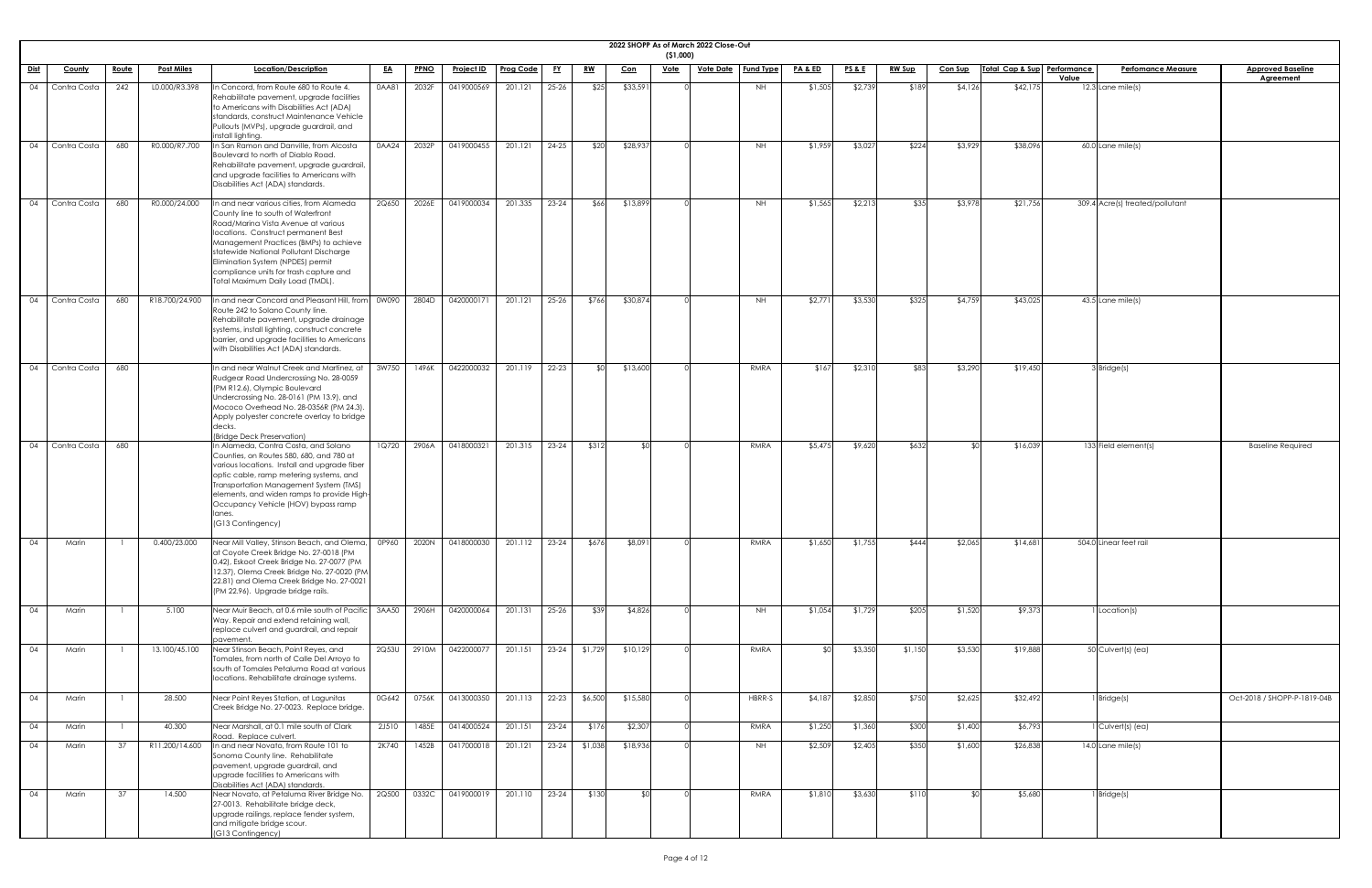|                 |                     |              |                   |                                                                                                                                                                                                                                                                                                                                                                    |           |             |                                                       |           |           |                 |                | (51,000)    | 2022 SHOPP As of March 2022 Close-Out |           |                    |                   |               |                |                             |       |                                 |                                              |
|-----------------|---------------------|--------------|-------------------|--------------------------------------------------------------------------------------------------------------------------------------------------------------------------------------------------------------------------------------------------------------------------------------------------------------------------------------------------------------------|-----------|-------------|-------------------------------------------------------|-----------|-----------|-----------------|----------------|-------------|---------------------------------------|-----------|--------------------|-------------------|---------------|----------------|-----------------------------|-------|---------------------------------|----------------------------------------------|
| <b>Dist</b>     | <u>County</u>       | <u>Route</u> | <b>Post Miles</b> | Location/Description                                                                                                                                                                                                                                                                                                                                               | <u>EA</u> | <b>PPNO</b> | <u>Project ID</u>                                     | Prog Code | <u>FY</u> | <u>RW</u>       | <u>Con</u>     | <u>Vote</u> | <u>Vote Date</u>   Fund Type          |           | <u>PA &amp; ED</u> | <u>PS &amp; E</u> | <u>RW Sup</u> | <b>Con Sup</b> | Total Cap & Sup Performance | Value | <b>Perfomance Measure</b>       | <b>Approved Baseline</b><br><b>Agreement</b> |
| 04              | Contra Costa        | 242          | L0.000/R3.398     | n Concord, from Route 680 to Route 4.<br>Rehabilitate pavement, upgrade facilities<br>to Americans with Disabilities Act (ADA)<br>standards, construct Maintenance Vehicle<br>Pullouts (MVPs), upgrade guardrail, and<br>install lighting.                                                                                                                         | 0AA81     | 2032F       | 0419000569                                            | 201.121   | $25 - 26$ | \$25            | \$33,591       |             |                                       | <b>NH</b> | \$1,505            | \$2,739           | \$189         | \$4,126        | \$42,175                    |       | $12.3$ Lane mile(s)             |                                              |
|                 | 04   Contra Costa   | 680          | R0.000/R7.700     | In San Ramon and Danville, from Alcosta<br>Boulevard to north of Diablo Road.<br>Rehabilitate pavement, upgrade guardrail,<br>and upgrade facilities to Americans with<br>Disabilities Act (ADA) standards.                                                                                                                                                        | 0AA24     | 2032P       | 0419000455                                            | 201.121   | 24-25     | \$20            | \$28,937       |             |                                       | <b>NH</b> | \$1,959            | \$3,027           | \$224         | \$3,929        | \$38,096                    |       | $60.0$ Lane mile(s)             |                                              |
|                 | 04 Contra Costa     | 680          | R0.000/24.000     | n and near various cities, from Alameda<br>County line to south of Waterfront<br>Road/Marina Vista Avenue at various<br>locations. Construct permanent Best<br>Management Practices (BMPs) to achieve<br>statewide National Pollutant Discharge<br>Elimination System (NPDES) permit<br>compliance units for trash capture and<br>Total Maximum Daily Load (TMDL). | 2Q650     | 2026E       | 0419000034                                            | 201.335   | $23 - 24$ | \$66            | \$13,899       |             |                                       | NH        | \$1,565            | \$2,213           | \$35          | \$3,978        | \$21,756                    |       | 309.4 Acre(s) treated/pollutant |                                              |
|                 | 04 Contra Costa     | 680          | R18.700/24.900    | In and near Concord and Pleasant Hill, from<br>Route 242 to Solano County line.<br>Rehabilitate pavement, upgrade drainage<br>systems, install lighting, construct concrete<br>barrier, and upgrade facilities to Americans<br>with Disabilities Act (ADA) standards.                                                                                              | 0W090     | 2804D       | 0420000171                                            | 201.121   | 25-26     | \$766           | \$30,874       |             |                                       | <b>NH</b> | \$2,77             | \$3,530           | \$325         | \$4,759        | \$43,025                    |       | $43.5$ Lane mile(s)             |                                              |
|                 | 04 Contra Costa 680 |              |                   | In and near Walnut Creek and Martinez, at   3W750   1496K   0422000032   201.119   22-23  <br>Rudgear Road Undercrossing No. 28-0059<br>(PM R12.6), Olympic Boulevard<br>Undercrossing No. 28-0161 (PM 13.9), and<br>Mococo Overhead No. 28-0356R (PM 24.3).<br>Apply polyester concrete overlay to bridge<br>(Bridge Deck Preservation)                           |           |             |                                                       |           |           |                 | $$0$ $$13,600$ |             |                                       | RMRA      | \$167              | \$2,310           | \$83          | \$3,290        | \$19,450                    |       | 3 Bridge(s)                     |                                              |
|                 | 04 Contra Costa     | 680          |                   | In Alameda, Contra Costa, and Solano<br>Counties, on Routes 580, 680, and 780 at<br>various locations. Install and upgrade fiber<br>optic cable, ramp metering systems, and<br>Transportation Management System (TMS)<br>elements, and widen ramps to provide High-<br>Occupancy Vehicle (HOV) bypass ramp<br>anes.<br>(G13 Contingency)                           | 1Q720     | 2906A       | 0418000321                                            | 201.315   | $23 - 24$ | \$312           | \$0            |             |                                       | RMRA      | \$5,475            | \$9,620           | \$632         | ደበ             | \$16,039                    |       | 133 Field element(s)            | <b>Baseline Required</b>                     |
| 04              | Marin               |              | 0.400/23.000      | Near Mill Valley, Stinson Beach, and Olema,<br>at Coyote Creek Bridge No. 27-0018 (PM<br>0.42), Eskoot Creek Bridge No. 27-0077 (PM<br>12.37), Olema Creek Bridge No. 27-0020 (PM<br>22.81) and Olema Creek Bridge No. 27-0021<br>(PM 22.96). Upgrade bridge rails.                                                                                                | 0P960     | 2020N       | 0418000030                                            | 201.112   |           | \$676           | \$8,091        |             |                                       | RMRA      | \$1,650            | \$1,755           | \$444         | \$2,065        | \$14,681                    |       | 504.0 Linear feet rail          |                                              |
| $\overline{04}$ | Marin               |              | 5.100             | Near Muir Beach, at 0.6 mile south of Pacific<br>Way. Repair and extend retaining wall,<br>replace culvert and guardrail, and repair<br>pavement                                                                                                                                                                                                                   | 3AA50     | 2906H       | 0420000064                                            | 201.131   | 25-26     | \$39            | \$4,826        |             |                                       | NH        | \$1,054            | \$1,729           | \$205         | \$1,520        | \$9,373                     |       | 1 Location(s)                   |                                              |
| 04              | Marin               |              | 13.100/45.100     | Near Stinson Beach, Point Reyes, and<br>Tomales, from north of Calle Del Arroyo to<br>south of Tomales Petaluma Road at various<br>locations. Rehabilitate drainage systems.                                                                                                                                                                                       | 2Q53U     | 2910M       | 0422000077                                            | 201.151   | $23-24$   | \$1,729         | \$10,129       |             |                                       | RMRA      |                    | \$3,350           | \$1,150       | \$3,530        | \$19,888                    |       | 50 Culvert(s) (ea)              |                                              |
| $\overline{04}$ | Marin               |              | 28.500            | Near Point Reyes Station, at Lagunitas<br>Creek Bridge No. 27-0023. Replace bridge.                                                                                                                                                                                                                                                                                |           |             | 0G642 0756K 0413000350 201.113 22-23 \$6,500 \$15,580 |           |           |                 |                |             |                                       | HBRR-S    | \$4,187            | \$2,850           | \$750         | \$2,625        | \$32,492                    |       | 1 Bridge(s)                     | Oct-2018 / SHOPP-P-1819-04B                  |
| $\overline{04}$ | Marin               |              | 40.300            | Near Marshall, at 0.1 mile south of Clark<br>Road. Replace culvert.                                                                                                                                                                                                                                                                                                | 2J510     | 1485E       | 0414000524                                            | 201.151   | $23-24$   | \$176           | \$2,307        |             |                                       | RMRA      | \$1,250            | \$1,360           | \$300         | \$1,400        | \$6,793                     |       | $\overline{1}$ Culvert(s) (ea)  |                                              |
| 04              | Marin               | -37          | R11.200/14.600    | In and near Novato, from Route 101 to<br>Sonoma County line. Rehabilitate<br>pavement, upgrade guardrail, and<br>upgrade facilities to Americans with<br>Disabilities Act (ADA) standards.                                                                                                                                                                         | 2K740     | 1452B       | 0417000018                                            | 201.121   |           | $23-24$ \$1,038 | \$18,936       |             |                                       | <b>NH</b> | \$2,509            | \$2,405           | \$350         | \$1,600        | \$26,838                    |       | 14.0 Lane mile(s)               |                                              |
| $\overline{04}$ | Marin               | 37           | 14.500            | Near Novato, at Petaluma River Bridge No.<br>27-0013. Rehabilitate bridge deck,<br>upgrade railings, replace fender system,<br>and mitigate bridge scour.<br>(G13 Contingency)                                                                                                                                                                                     | 2Q500     | 0332C       | 0419000019                                            | 201.110   | $23-24$   | \$130           | \$0            |             |                                       | RMRA      | \$1,810            | \$3,630           | \$110         | ו∩\$           | \$5,680                     |       | 1 Bridge(s)                     |                                              |

| ä                                   |  |
|-------------------------------------|--|
| $\overline{\mathsf{ne}}$<br>819-04B |  |
|                                     |  |
|                                     |  |
|                                     |  |
|                                     |  |
|                                     |  |
|                                     |  |
|                                     |  |
|                                     |  |
|                                     |  |
|                                     |  |
|                                     |  |
|                                     |  |
|                                     |  |
|                                     |  |
|                                     |  |
|                                     |  |
|                                     |  |
|                                     |  |
|                                     |  |
|                                     |  |
|                                     |  |
|                                     |  |
|                                     |  |
|                                     |  |
|                                     |  |
|                                     |  |
|                                     |  |
|                                     |  |
|                                     |  |
|                                     |  |
|                                     |  |
|                                     |  |
|                                     |  |
|                                     |  |
|                                     |  |
|                                     |  |
|                                     |  |
|                                     |  |
|                                     |  |
|                                     |  |
|                                     |  |
|                                     |  |
|                                     |  |
|                                     |  |
|                                     |  |
|                                     |  |
|                                     |  |
|                                     |  |
|                                     |  |
|                                     |  |
|                                     |  |
|                                     |  |
|                                     |  |
|                                     |  |
|                                     |  |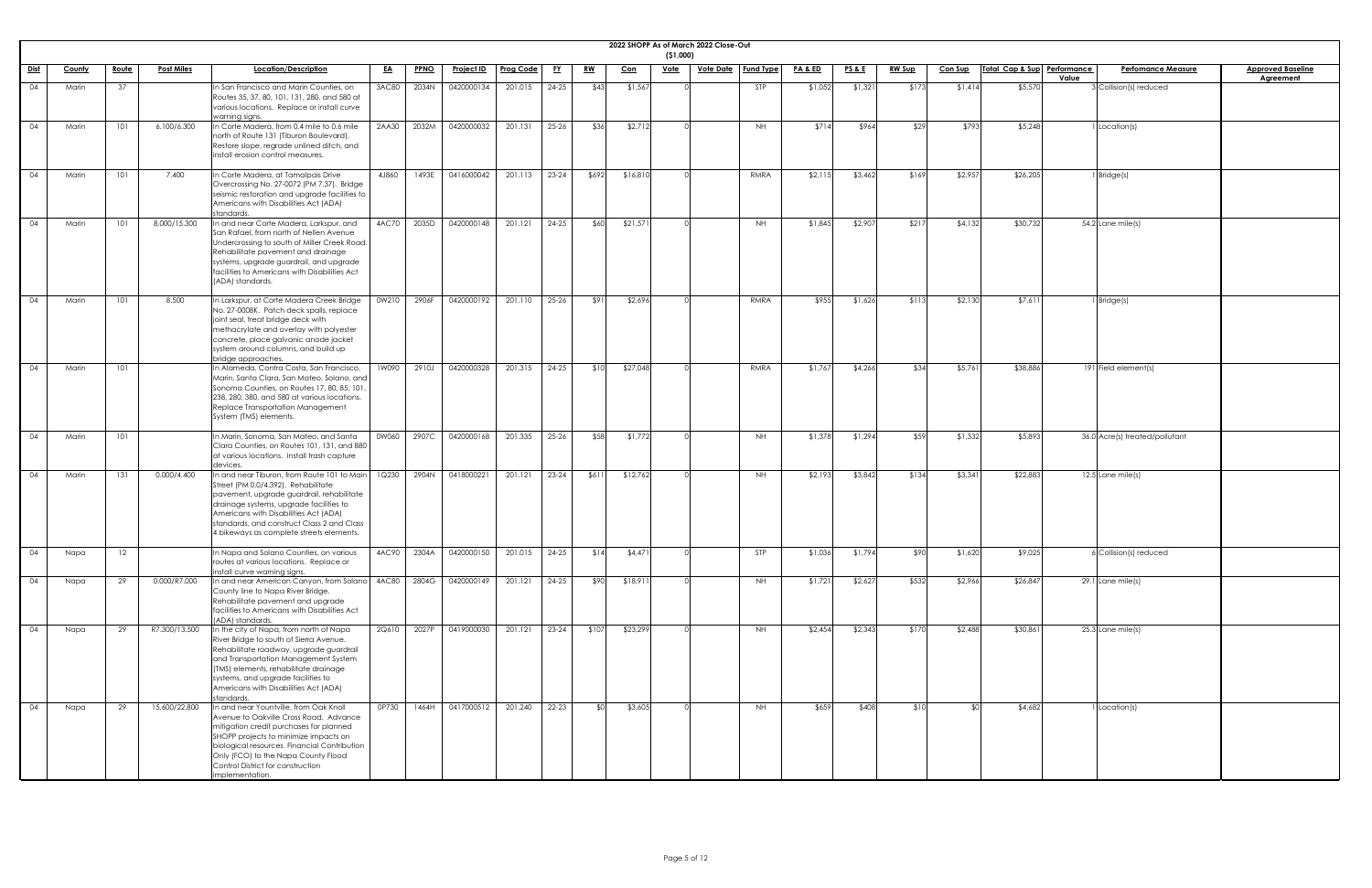|          | ( \$1,000)     | 2022 SHOPP As of March 2022 Close-Out |                  |         |         |               |         |                 |                             |                                |                                              |
|----------|----------------|---------------------------------------|------------------|---------|---------|---------------|---------|-----------------|-----------------------------|--------------------------------|----------------------------------------------|
| Con      | Vote           | <b>Vote Date</b>                      | <b>Fund Type</b> | PA&ED   | PS&E    | <b>RW Sup</b> | Con Sup | Total Cap & Sup | <b>Performance</b><br>Value | <b>Perfomance Measure</b>      | <b>Approved Baseline</b><br><b>Agreement</b> |
| \$1,567  | $\overline{O}$ |                                       | <b>STP</b>       | \$1,052 | \$1,321 | \$173         | \$1,414 | \$5,570         |                             | 3 Collision(s) reduced         |                                              |
| \$2,712  | $\overline{O}$ |                                       | <b>NH</b>        | \$714   | \$964   | \$29          | \$793   | \$5,248         |                             | 1 Location(s)                  |                                              |
| \$16,810 | $\overline{O}$ |                                       | <b>RMRA</b>      | \$2,115 | \$3,462 | \$169         | \$2,957 | \$26,205        |                             | $1$ Bridge(s)                  |                                              |
| \$21,571 | $\overline{O}$ |                                       | <b>NH</b>        | \$1,845 | \$2,907 | \$217         | \$4,132 | \$30,732        |                             | 54.2 Lane mile(s)              |                                              |
| \$2,696  | $\overline{O}$ |                                       | RMRA             | \$955   | \$1,626 | \$113         | \$2,130 | \$7,611         |                             | $1$ Bridge(s)                  |                                              |
| \$27,048 | $\overline{0}$ |                                       | RMRA             | \$1,767 | \$4,266 | \$34          | \$5,761 | \$38,886        |                             | 191 Field element(s)           |                                              |
| \$1,772  | $\overline{O}$ |                                       | $\mathsf{NH}\,$  | \$1,378 | \$1,294 | \$59          | \$1,332 | \$5,893         |                             | 36.0 Acre(s) treated/pollutant |                                              |
| \$12,762 | 0              |                                       | <b>NH</b>        | \$2,193 | \$3,842 | \$134         | \$3,341 | \$22,883        |                             | 12.5 Lane mile(s)              |                                              |
| \$4,471  | $\overline{O}$ |                                       | STP              | \$1,036 | \$1,794 | \$90          | \$1,620 | \$9,025         |                             | 6 Collision(s) reduced         |                                              |
| \$18,911 | $\overline{O}$ |                                       | NH               | \$1,721 | \$2,627 | \$532         | \$2,966 | \$26,847        |                             | 29.1 Lane mile(s)              |                                              |
| \$23,299 | $\overline{0}$ |                                       | $\mathsf{NH}\,$  | \$2,454 | \$2,343 | \$170         | \$2,488 | \$30,861        |                             | 25.3 Lane mile(s)              |                                              |
| \$3,605  | $\overline{0}$ |                                       | NH               | \$659   | \$408   | \$10          | \$0     | \$4,682         |                             | 1 Location(s)                  |                                              |

|             |          |                 |                   |                                                                                                                                                                                                                                                                                                                     |           |             |                   |                  |           |             | 2022 SHOPP As of March 2022 Close-Out | ( \$1,000)  |                              |                    |                 |               |                |                             |                                 |                         |
|-------------|----------|-----------------|-------------------|---------------------------------------------------------------------------------------------------------------------------------------------------------------------------------------------------------------------------------------------------------------------------------------------------------------------|-----------|-------------|-------------------|------------------|-----------|-------------|---------------------------------------|-------------|------------------------------|--------------------|-----------------|---------------|----------------|-----------------------------|---------------------------------|-------------------------|
| <u>Dist</u> | County   | <u>Route</u>    | <b>Post Miles</b> | Location/Description                                                                                                                                                                                                                                                                                                | <u>EA</u> | <b>PPNO</b> | <u>Project ID</u> | <b>Prog Code</b> | <u>FY</u> | <u>RW</u>   | <u>Con</u>                            | <u>Vote</u> | <u>Vote Date</u>   Fund Type | <u>PA &amp; ED</u> | <u>PS&amp;E</u> | <u>RW Sup</u> | <b>Con Sup</b> | Total Cap & Sup Performance | <b>Perfomance Measure</b>       | <b>Approved Baselin</b> |
| 04          | Marin    | 37              |                   | In San Francisco and Marin Counties, on<br>Routes 35, 37, 80, 101, 131, 280, and 580 at<br>various locations. Replace or install curve<br>warning signs.                                                                                                                                                            | 3AC80     | 2034N       | 0420000134        | 201.015          | $24 - 25$ | \$43        | \$1,567                               |             | <b>STP</b>                   | \$1,052            | \$1,321         | \$173         | \$1,414        | \$5,570                     | Value<br>3 Collision(s) reduced | <b>Agreement</b>        |
| 04          | Marin    | 101             | 6.100/6.300       | In Corte Madera, from 0.4 mile to 0.6 mile<br>north of Route 131 (Tiburon Boulevard).<br>Restore slope, regrade unlined ditch, and<br>install erosion control measures.                                                                                                                                             | 2AA30     | 2032M       | 0420000032        | 201.131          | $25 - 26$ | \$36        | \$2,712                               |             | <b>NH</b>                    | \$714              | \$964           | \$29          | \$793          | \$5,248                     | 1 Location(s)                   |                         |
| 04          | Marin    | 101             | 7.400             | In Corte Madera, at Tamalpais Drive<br>Overcrossing No. 27-0072 (PM 7.37). Bridge<br>seismic restoration and upgrade facilities to<br>Americans with Disabilities Act (ADA)<br>standards.                                                                                                                           | 4J860     | 1493E       | 0416000042        | 201.113          | $23 - 24$ | \$692       | \$16,810                              |             | RMRA                         | \$2,11             | \$3,462         | \$169         | \$2,957        | \$26,205                    | 1 Bridge(s)                     |                         |
| 04          | Marin    | 101             | 8.000/15.300      | In and near Corte Madera, Larkspur, and<br>San Rafael, from north of Nellen Avenue<br>Undercrossing to south of Miller Creek Road.<br>Rehabilitate pavement and drainage<br>systems, upgrade guardrail, and upgrade<br>facilities to Americans with Disabilities Act<br>(ADA) standards.                            | 4AC70     | 2035D       | 0420000148        | 201.121          | $24 - 25$ | \$60        | \$21,571                              |             | <b>NH</b>                    | \$1,845            | \$2,907         | \$217         | \$4,132        | \$30,732                    | $54.2$ Lane mile(s)             |                         |
| 04          | Marin    | 101             | 8.500             | In Larkspur, at Corte Madera Creek Bridge<br>No. 27-0008K. Patch deck spalls, replace<br>joint seal, treat bridge deck with<br>methacrylate and overlay with polyester<br>concrete, place galvanic anode jacket<br>system around columns, and build up<br>bridge approaches.                                        | 0W210     | 2906F       | 0420000192        | 201.110          | $25 - 26$ | \$91        | \$2,696                               |             | RMRA                         | \$955              | \$1,626         | \$113         | \$2,130        | \$7,611                     | 1 Bridge(s)                     |                         |
|             | 04 Marin | 101             |                   | In Alameda, Contra Costa, San Francisco,   1W090   2910J   0420000328   201.315   24-25  <br>Marin, Santa Clara, San Mateo, Solano, and<br>Sonoma Counties, on Routes 17, 80, 85, 101,<br>238, 280, 380, and 580 at various locations.<br>Replace Transportation Management<br>System (TMS) elements.               |           |             |                   |                  |           | \$10        | \$27,048                              |             | RMRA                         | \$1,767            | \$4,266         | $\sqrt{21}$   | \$5,761        | \$38,886                    | 191 Field element(s)            |                         |
| 04          | Marin    | 101             |                   | In Marin, Sonoma, San Mateo, and Santa<br>Clara Counties, on Routes 101, 131, and 880<br>at various locations. Install trash capture<br>devices.                                                                                                                                                                    | 0W060     | 2907C       | 0420000168        | 201.335          | $25 - 26$ | \$58        | \$1,772                               |             | <b>NH</b>                    | \$1,378            | \$1,294         | \$59          | \$1,332        | \$5,893                     | 36.0 Acre(s) treated/pollutant  |                         |
| 04          | Marin    | 131             | 0.000/4.400       | In and near Tiburon, from Route 101 to Main<br>Street (PM 0.0/4.392). Rehabilitate<br>pavement, upgrade guardrail, rehabilitate<br>drainage systems, upgrade facilities to<br>Americans with Disabilities Act (ADA)<br>standards, and construct Class 2 and Class<br>4 bikeways as complete streets elements.       | 1Q230     | 2904N       | 0418000221        | 201.121          | $23 - 24$ | \$611       | \$12,762                              |             | NH.                          | \$2,19             | \$3,842         | \$134         | \$3,341        | \$22,883                    | $12.5$ Lane mile(s)             |                         |
| 04          | Napa     | 12 <sup>2</sup> |                   | n Napa and Solano Counties, on various<br>routes at various locations. Replace or<br>install curve warning signs.                                                                                                                                                                                                   | 4AC90     | 2304A       | 0420000150        | 201.015          | $24 - 25$ | \$14        | \$4,471                               |             | <b>STP</b>                   | \$1,036            | \$1,794         | \$90          | \$1,620        | \$9,025                     | 6 Collision(s) reduced          |                         |
| 04          | Napa     | 29              | 0.000/R7.000      | In and near American Canyon, from Solano<br>County line to Napa River Bridge.<br>Rehabilitate pavement and upgrade<br>facilities to Americans with Disabilities Act<br>(ADA) standards.                                                                                                                             | 4AC80     | 2804G       | 0420000149        | 201.121          | $24 - 25$ | <b>\$90</b> | \$18,911                              |             | <b>NH</b>                    | \$1,72             | \$2,627         | \$532         | \$2,966        | \$26,847                    | 29.1 Lane mile(s)               |                         |
| 04          | Napa     | 29              | R7.300/13.500     | In the city of Napa, from north of Napa<br>River Bridge to south of Sierra Avenue.<br>Rehabilitate roadway, upgrade guardrail<br>and Transportation Management System<br>(TMS) elements, rehabilitate drainage<br>systems, and upgrade facilities to<br>Americans with Disabilities Act (ADA)<br>standards.         | 2Q610     | 2027P       | 0419000030        | 201.121          | $23 - 24$ | \$107       | \$23,299                              |             | NH.                          | \$2,454            | \$2,343         | \$170         | \$2,488        | \$30,861                    | $25.3$ Lane mile(s)             |                         |
| 04          | Napa     | 29              | 15.600/22.800     | In and near Yountville, from Oak Knoll<br>Avenue to Oakville Cross Road. Advance<br>mitigation credit purchases for planned<br>SHOPP projects to minimize impacts on<br>biological resources. Financial Contribution<br>Only (FCO) to the Napa County Flood<br>Control District for construction<br>implementation. | 0P730     | 1464H       | 0417000512        | 201.240          | $22 - 23$ |             | \$3,605                               |             | NH.                          | \$659              | \$408           |               |                | \$4,682                     | 1 Location(s)                   |                         |

| ۱e<br>I |  |  |
|---------|--|--|
|         |  |  |
|         |  |  |
|         |  |  |
|         |  |  |
|         |  |  |
|         |  |  |
|         |  |  |
|         |  |  |
|         |  |  |
|         |  |  |
|         |  |  |
|         |  |  |
|         |  |  |
|         |  |  |
|         |  |  |
|         |  |  |
|         |  |  |
|         |  |  |
|         |  |  |
|         |  |  |
|         |  |  |
|         |  |  |
|         |  |  |
|         |  |  |
|         |  |  |
|         |  |  |
|         |  |  |
|         |  |  |
|         |  |  |
|         |  |  |
|         |  |  |
|         |  |  |
|         |  |  |
|         |  |  |
|         |  |  |
|         |  |  |
|         |  |  |
|         |  |  |
|         |  |  |
|         |  |  |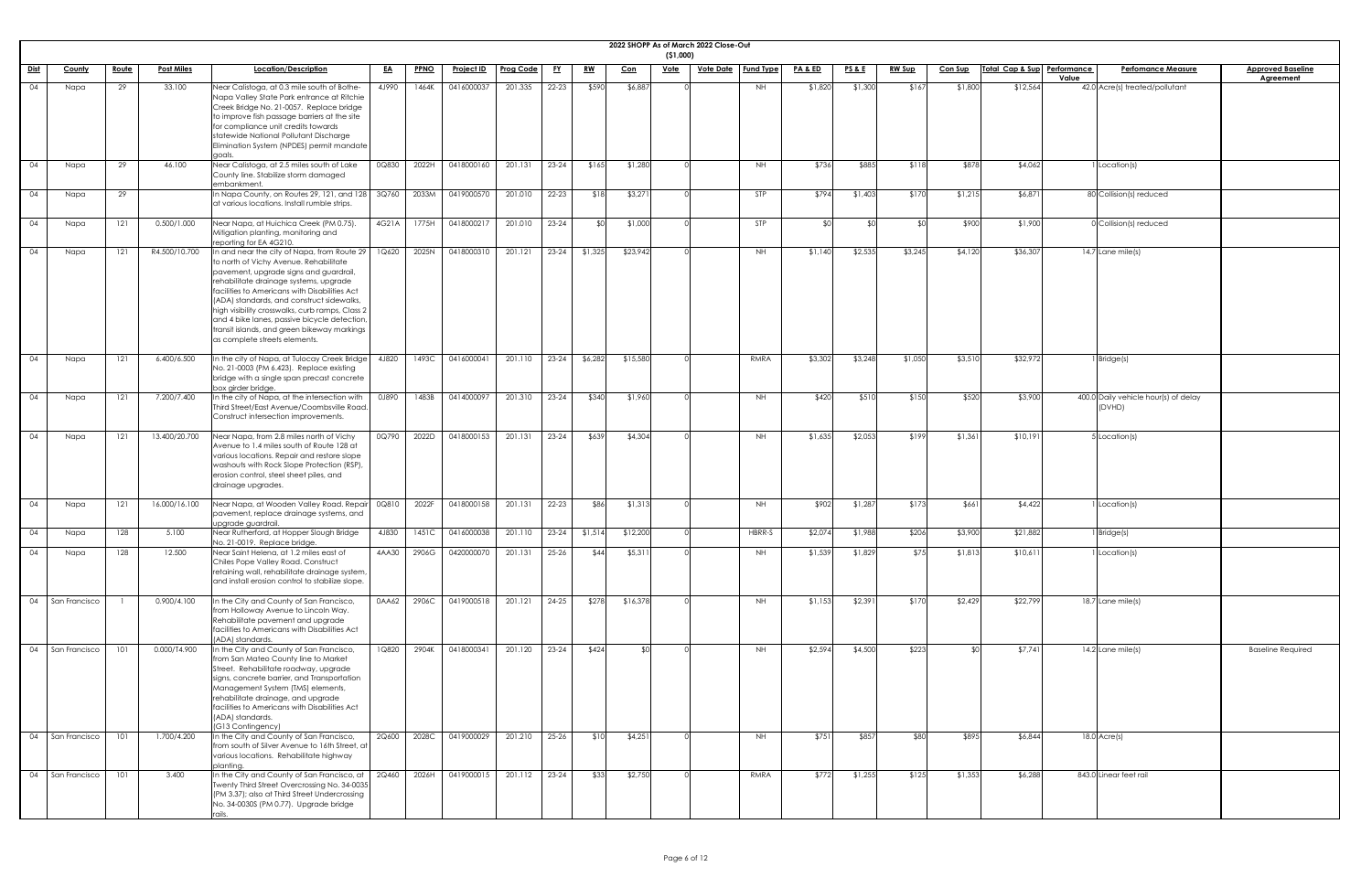|             |                                   |              |                             |                                                                                                                                                                                                                                                                                                                                                                                                                                                            |                |                |                          |                          |           |               | 2022 SHOPP As of March 2022 Close-Out | ( \$1,000)  |                  |                  |                    |                  |               |                |                             |       |                                                |                                              |
|-------------|-----------------------------------|--------------|-----------------------------|------------------------------------------------------------------------------------------------------------------------------------------------------------------------------------------------------------------------------------------------------------------------------------------------------------------------------------------------------------------------------------------------------------------------------------------------------------|----------------|----------------|--------------------------|--------------------------|-----------|---------------|---------------------------------------|-------------|------------------|------------------|--------------------|------------------|---------------|----------------|-----------------------------|-------|------------------------------------------------|----------------------------------------------|
| <u>Dist</u> | County                            | <u>Route</u> | <b>Post Miles</b>           | Location/Description                                                                                                                                                                                                                                                                                                                                                                                                                                       | <u>EA</u>      | <b>PPNO</b>    | <b>Project ID</b>        | <b>Prog Code</b>         | <u>FY</u> | <u>RW</u>     | <u>Con</u>                            | <b>Vote</b> | <u>Vote Date</u> | <b>Fund Type</b> | <u>PA &amp; ED</u> | <b>PS&amp;E</b>  | <b>RW Sup</b> | <b>Con Sup</b> | Total Cap & Sup Performance | Value | <b>Perfomance Measure</b>                      | <b>Approved Baseline</b><br><b>Agreement</b> |
| 04          | Napa                              | 29           | 33.100                      | Near Calistoga, at 0.3 mile south of Bothe-<br>Napa Valley State Park entrance at Ritchie<br>Creek Bridge No. 21-0057. Replace bridge<br>to improve fish passage barriers at the site<br>for compliance unit credits towards<br>statewide National Pollutant Discharge<br>Elimination System (NPDES) permit mandate<br>goals                                                                                                                               | 4J990          | 1464K          | 0416000037               | 201.335                  | $22 - 23$ | \$590         | \$6,887                               |             |                  | <b>NH</b>        | \$1,820            | \$1,300          | \$167         | \$1,800        | \$12,564                    |       | 42.0 Acre(s) treated/pollutant                 |                                              |
| 04          | Napa                              | 29           | 46.100                      | Near Calistoga, at 2.5 miles south of Lake<br>County line. Stabilize storm damaged<br>embankment.                                                                                                                                                                                                                                                                                                                                                          | 0Q830          | 2022H          | 0418000160               | 201.131                  | $23-24$   | \$165         | \$1,280                               |             |                  | <b>NH</b>        | \$736              | \$885            | \$118         | \$878          | \$4,062                     |       | I Location(s)                                  |                                              |
| 04          | Napa                              | 29           |                             | In Napa County, on Routes 29, 121, and 128 $3Q760$<br>at various locations. Install rumble strips.                                                                                                                                                                                                                                                                                                                                                         |                | 2033M          | 0419000570               | 201.010                  | $22 - 23$ | \$18          | \$3,271                               |             |                  | STP              | \$794              | \$1,403          | \$170         | \$1,215        | \$6,871                     |       | 80 Collision(s) reduced                        |                                              |
| 04          | Napa                              | 121          | 0.500/1.000                 | Near Napa, at Huichica Creek (PM 0.75).<br>Mitigation planting, monitoring and<br>reporting for EA 4G210.                                                                                                                                                                                                                                                                                                                                                  | 4G21A          | 1775H          | 0418000217               | 201.010                  | $23 - 24$ |               | \$1,000                               |             |                  | STP              |                    |                  |               | \$900          | \$1,900                     |       | 0 Collision(s) reduced                         |                                              |
| 04          | Napa                              | 121          | R4.500/10.700               | In and near the city of Napa, from Route 29<br>to north of Vichy Avenue. Rehabilitate<br>pavement, upgrade signs and guardrail,<br>rehabilitate drainage systems, upgrade<br>facilities to Americans with Disabilities Act<br>(ADA) standards, and construct sidewalks,<br>high visibility crosswalks, curb ramps, Class 2<br>and 4 bike lanes, passive bicycle detection,<br>transit islands, and green bikeway markings<br>as complete streets elements. | 1Q620          | 2025N          | 0418000310               | 201.121                  | $23-24$   | \$1,325       | \$23,942                              |             |                  | NH.              | \$1,140            | \$2,535          | \$3,245       | \$4,120        | \$36,307                    |       | $14.7$ Lane mile(s)                            |                                              |
| 04          | Napa                              | 121          | 6.400/6.500                 | In the city of Napa, at Tulocay Creek Bridge<br>No. 21-0003 (PM 6.423). Replace existing<br>bridge with a single span precast concrete<br>box girder bridge.                                                                                                                                                                                                                                                                                               | 4J820          | 1493C          | 0416000041               | 201.110                  | $23 - 24$ | \$6,282       | \$15,580                              |             |                  | RMRA             | \$3,302            | \$3,248          | \$1,050       | \$3,510        | \$32,972                    |       | 1 Bridge(s)                                    |                                              |
| 04          | Napa                              | 121          | 7.200/7.400                 | In the city of Napa, at the intersection with<br>Third Street/East Avenue/Coombsville Road.<br>Construct intersection improvements.                                                                                                                                                                                                                                                                                                                        | 0J890          | 1483B          | 0414000097               | 201.310                  | $23-24$   | \$340         | \$1,960                               |             |                  | <b>NH</b>        | \$420              | \$510            | \$150         | \$520          | \$3,900                     |       | 400.0 Daily vehicle hour(s) of delay<br>(DVHD) |                                              |
| 04          | Napa                              | 121          | 13.400/20.700               | Near Napa, from 2.8 miles north of Vichy<br>Avenue to 1.4 miles south of Route 128 at<br>various locations. Repair and restore slope<br>washouts with Rock Slope Protection (RSP)<br>erosion control, steel sheet piles, and<br>drainage upgrades.                                                                                                                                                                                                         | 0Q790          | 2022D          | 0418000153               | 201.131                  | $23 - 24$ | \$639         | \$4,304                               |             |                  | <b>NH</b>        | \$1,635            | \$2,053          | \$199         | \$1,361        | \$10,191                    |       | 5 Location(s)                                  |                                              |
| 04          | Napa                              | 121          | 16.000/16.100               | Near Napa, at Wooden Valley Road. Repair<br>pavement, replace drainage systems, and<br>upgrade guardrail.                                                                                                                                                                                                                                                                                                                                                  | 0Q810          | 2022F          | 0418000158               | 201.131                  | $22 - 23$ | \$86          | \$1,313                               |             |                  | <b>NH</b>        | \$902              | \$1,287          | \$173         | \$661          | \$4,422                     |       | I Location(s)                                  |                                              |
| 04          | Napa                              | 128          | 5.100                       | Near Rutherford, at Hopper Slough Bridge<br>No. 21-0019. Replace bridge.                                                                                                                                                                                                                                                                                                                                                                                   | 4J830          | 1451C          | 0416000038               | 201.110                  | $23-24$   | \$1,514       | \$12,200                              |             |                  | HBRR-S           | \$2,074            | \$1,988          | \$206         | \$3,900        | \$21,882                    |       | $1$ Bridge(s)                                  |                                              |
| 04          | Napa                              | 128          | 12.500                      | Near Saint Helena, at 1.2 miles east of<br>Chiles Pope Valley Road. Construct<br>retaining wall, rehabilitate drainage system,<br>and install erosion control to stabilize slope.                                                                                                                                                                                                                                                                          | 4AA30          | 2906G          | 0420000070               | 201.131                  | $25-26$   | \$44          | \$5,311                               |             |                  | NH               | \$1,539            | \$1,829          | \$75          | \$1,813        | \$10,611                    |       | I Location(s)                                  |                                              |
| 04          | San Francisco                     |              | 0.900/4.100                 | In the City and County of San Francisco,<br>from Holloway Avenue to Lincoln Way.<br>Rehabilitate pavement and upgrade<br>facilities to Americans with Disabilities Act<br>(ADA) standards.                                                                                                                                                                                                                                                                 | 0AA62          | 2906C          | 0419000518               | 201.121                  | $24-25$   | \$278         | \$16,378                              |             |                  | <b>NH</b>        | \$1,153            | \$2,391          | \$170         | \$2,429        | \$22,799                    |       | 18.7 Lane mile(s)                              |                                              |
| 04          | San Francisco<br>04 San Francisco | 101<br>101   | 0.000/T4.900<br>1.700/4.200 | In the City and County of San Francisco,<br>from San Mateo County line to Market<br>Street. Rehabilitate roadway, upgrade<br>signs, concrete barrier, and Transportation<br>Management System (TMS) elements,<br>rehabilitate drainage, and upgrade<br>facilities to Americans with Disabilities Act<br>(ADA) standards.<br>(G13 Contingency)<br>In the City and County of San Francisco,<br>from south of Silver Avenue to 16th Street, at                | 1Q820<br>2Q600 | 2904K<br>2028C | 0418000341<br>0419000029 | 201.120<br>201.210 25-26 | $23-24$   | \$424<br>\$10 | ≮∩∣<br>\$4,251                        |             |                  | NH<br><b>NH</b>  | \$2,594<br>\$751   | \$4,500<br>\$857 | \$223<br>\$80 | \$895          | \$7,741<br>\$6,844          |       | $14.2$ Lane mile(s)<br>$18.0$ Acre(s)          | <b>Baseline Required</b>                     |
|             | 04   San Francisco                | 101          | 3.400                       | various locations. Rehabilitate highway<br>planting.<br>In the City and County of San Francisco, at $\vert$ 2Q460<br>Twenty Third Street Overcrossing No. 34-0035<br>(PM 3.37); also at Third Street Undercrossing<br>No. 34-0030S (PM 0.77). Upgrade bridge                                                                                                                                                                                               |                | 2026H          | 0419000015               | 201.112   23-24          |           | \$33          | \$2,750                               |             |                  | RMRA             | \$772              | \$1,255          | \$125         | \$1,353        | \$6,288                     |       | 843.0 Linear feet rail                         |                                              |

| seline<br><u>nt</u> |  |
|---------------------|--|
|                     |  |
|                     |  |
|                     |  |
|                     |  |
|                     |  |
|                     |  |
|                     |  |
|                     |  |
|                     |  |
|                     |  |
|                     |  |
|                     |  |
|                     |  |
|                     |  |
|                     |  |
|                     |  |
|                     |  |
|                     |  |
|                     |  |
|                     |  |
|                     |  |
|                     |  |
|                     |  |
|                     |  |
|                     |  |
|                     |  |
|                     |  |
|                     |  |
|                     |  |
|                     |  |
|                     |  |
|                     |  |
| uired               |  |
|                     |  |
|                     |  |
|                     |  |
|                     |  |
|                     |  |
|                     |  |
|                     |  |
|                     |  |
|                     |  |
|                     |  |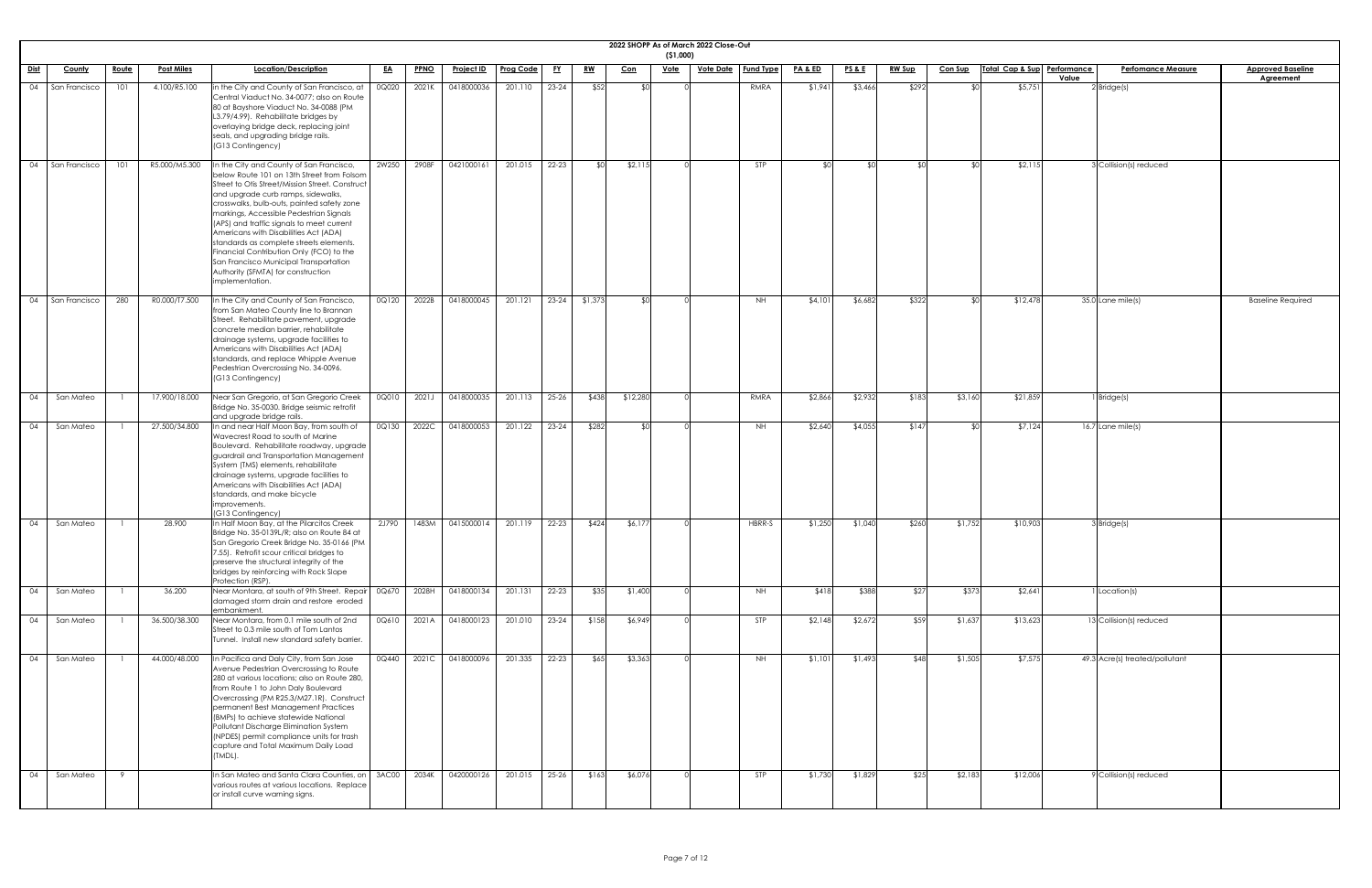|                 | 2022 SHOPP As of March 2022 Close-Out<br>( \$1,000) |              |                   |                                                                                                                                                                                                                                                                                                                                                                                                                                                                                                                                                          |           |             |                   |                  |           |           |            |             |                                      |               |                 |               |                |                             |       |                                |                          |
|-----------------|-----------------------------------------------------|--------------|-------------------|----------------------------------------------------------------------------------------------------------------------------------------------------------------------------------------------------------------------------------------------------------------------------------------------------------------------------------------------------------------------------------------------------------------------------------------------------------------------------------------------------------------------------------------------------------|-----------|-------------|-------------------|------------------|-----------|-----------|------------|-------------|--------------------------------------|---------------|-----------------|---------------|----------------|-----------------------------|-------|--------------------------------|--------------------------|
| Dist            | County                                              | <u>Route</u> | <b>Post Miles</b> | Location/Description                                                                                                                                                                                                                                                                                                                                                                                                                                                                                                                                     | <u>EA</u> | <b>PPNO</b> | <u>Project ID</u> | <b>Prog Code</b> | <u>FY</u> | <u>RW</u> | <u>Con</u> | <u>Vote</u> | <u>Vote Date</u><br><b>Fund Type</b> | PA&ED         | <u>PS&amp;E</u> | <b>RW Sup</b> | <b>Con Sup</b> | Total Cap & Sup Performance |       | <b>Perfomance Measure</b>      | <b>Approved Baseline</b> |
| 04              | San Francisco                                       | 101          | 4.100/R5.100      | in the City and County of San Francisco, at<br>Central Viaduct No. 34-0077; also on Route<br>80 at Bayshore Viaduct No. 34-0088 (PM<br>L3.79/4.99). Rehabilitate bridges by<br>overlaying bridge deck, replacing joint<br>seals, and upgrading bridge rails.<br>(G13 Contingency)                                                                                                                                                                                                                                                                        | 0Q020     | 2021K       | 0418000036        | 201.110          | $23 - 24$ | \$52      |            |             | RMRA                                 | \$1,941       | \$3,466         | \$292         |                | \$5,751                     | Value | $2$ Bridge(s)                  | <b>Agreement</b>         |
| $\overline{04}$ | San Francisco                                       | 101          | R5.000/M5.300     | In the City and County of San Francisco,<br>below Route 101 on 13th Street from Folsom<br>Street to Otis Street/Mission Street. Construct<br>and upgrade curb ramps, sidewalks,<br>crosswalks, bulb-outs, painted safety zone<br>markings, Accessible Pedestrian Signals<br>(APS) and traffic signals to meet current<br>Americans with Disabilities Act (ADA)<br>standards as complete streets elements.<br>Financial Contribution Only (FCO) to the<br>San Francisco Municipal Transportation<br>Authority (SFMTA) for construction<br>implementation. | 2W250     | 2908F       | 0421000161        | 201.015          | 22-23     | -\$0 l    | \$2,11     |             | <b>STP</b>                           | $\mathcal{L}$ |                 | ¢Λ            |                | \$2,115                     |       | 3 Collision(s) reduced         |                          |
| $\overline{04}$ | San Francisco                                       | 280          | R0.000/T7.500     | In the City and County of San Francisco,<br>from San Mateo County line to Brannan<br>Street. Rehabilitate pavement, upgrade<br>concrete median barrier, rehabilitate<br>drainage systems, upgrade facilities to<br>Americans with Disabilities Act (ADA)<br>standards, and replace Whipple Avenue<br>Pedestrian Overcrossing No. 34-0096.<br>(G13 Contingency)                                                                                                                                                                                           | 0Q120     | 2022B       | 0418000045        | 201.121          | $23-24$   | \$1,373   |            |             | <b>NH</b>                            | \$4,101       | \$6,682         | \$322         |                | \$12,478                    |       | 35.0 Lane mile(s)              | <b>Baseline Required</b> |
| $\overline{04}$ | San Mateo                                           |              | 17.900/18.000     | Near San Gregorio, at San Gregorio Creek<br>Bridge No. 35-0030. Bridge seismic retrofit<br>and upgrade bridge rails.                                                                                                                                                                                                                                                                                                                                                                                                                                     | 0Q010     | 2021J       | 0418000035        | 201.113          | $25 - 26$ | \$438     | \$12,280   |             | RMRA                                 | \$2,866       | \$2,932         | \$183         | \$3,160        | \$21,859                    |       | $1$ Bridge(s)                  |                          |
| $\overline{04}$ | San Mateo                                           |              | 27.500/34.800     | In and near Half Moon Bay, from south of<br>Wavecrest Road to south of Marine<br>Boulevard. Rehabilitate roadway, upgrade<br>guardrail and Transportation Management<br>System (TMS) elements, rehabilitate<br>drainage systems, upgrade facilities to<br>Americans with Disabilities Act (ADA)<br>standards, and make bicycle<br>improvements.<br>(G13 Contingency)                                                                                                                                                                                     | 0Q130     | 2022C       | 0418000053        | 201.122          | $23 - 24$ | \$282     |            |             | <b>NH</b>                            | \$2,640       | \$4,055         | \$147         |                | \$7,124                     |       | $16.7$ Lane mile(s)            |                          |
| $\overline{04}$ | San Mateo                                           |              | 28.900            | In Half Moon Bay, at the Pilarcitos Creek<br>Bridge No. 35-0139L/R; also on Route 84 at<br>San Gregorio Creek Bridge No. 35-0166 (PM<br>7.55). Retrofit scour critical bridges to<br>preserve the structural integrity of the<br>bridges by reinforcing with Rock Slope<br>Protection (RSP).                                                                                                                                                                                                                                                             | 2J790     | 1483M       | 0415000014        | 201.119          | $22 - 23$ | \$424     | \$6,177    |             | HBRR-S                               | \$1,250       | \$1,040         | \$260         | \$1,752        | \$10,903                    |       | $3$ Bridge(s)                  |                          |
| $\overline{04}$ | San Mateo                                           |              | 36.200            | Near Montara, at south of 9th Street. Repair<br>damaged storm drain and restore eroded<br>embankment                                                                                                                                                                                                                                                                                                                                                                                                                                                     | 0Q670     | 2028H       | 0418000134        | 201.131          | $22 - 23$ | \$35      | \$1,400    |             | <b>NH</b>                            | \$418         | \$388           | \$27          | \$373          | \$2,641                     |       | 1 Location(s)                  |                          |
| $\overline{04}$ | San Mateo                                           |              | 36.500/38.300     | Near Montara, from 0.1 mile south of 2nd<br>Street to 0.3 mile south of Tom Lantos<br>Tunnel. Install new standard safety barrier.                                                                                                                                                                                                                                                                                                                                                                                                                       | 0Q610     | 2021A       | 0418000123        | 201.010          | $23 - 24$ | \$158     | \$6,949    |             | <b>STP</b>                           | \$2,148       | \$2,672         | \$59          | \$1,637        | \$13,623                    |       | 13 Collision(s) reduced        |                          |
| 04              | San Mateo                                           |              | 44.000/48.000     | In Pacifica and Daly City, from San Jose<br>Avenue Pedestrian Overcrossing to Route<br>280 at various locations; also on Route 280,<br>from Route 1 to John Daly Boulevard<br>Overcrossing (PM R25.3/M27.1R). Construct<br>permanent Best Management Practices<br>(BMPs) to achieve statewide National<br>Pollutant Discharge Elimination System<br>(NPDES) permit compliance units for trash<br>capture and Total Maximum Daily Load<br>(TMDL).                                                                                                         | 0Q440     | 2021C       | 0418000096        | 201.335          | $22 - 23$ | \$65      | \$3,363    |             | NH.                                  | \$1,101       | \$1,493         | \$48          | \$1,505        | \$7,575                     |       | 49.3 Acre(s) treated/pollutant |                          |
| $\overline{04}$ | San Mateo                                           | -9           |                   | In San Mateo and Santa Clara Counties, on<br>various routes at various locations. Replace<br>or install curve warning signs.                                                                                                                                                                                                                                                                                                                                                                                                                             | 3AC00     | 2034K       | 0420000126        | 201.015          | $25 - 26$ | \$163     | \$6,076    |             | STP                                  | \$1,730       | \$1,829         | \$25          | \$2,183        | \$12,006                    |       | 9 Collision(s) reduced         |                          |

| $\frac{1}{\text{ine}}$<br>$\overline{\mathsf{ed}}$ |  |
|----------------------------------------------------|--|
|                                                    |  |
|                                                    |  |
|                                                    |  |
|                                                    |  |
|                                                    |  |
|                                                    |  |
|                                                    |  |
|                                                    |  |
|                                                    |  |
|                                                    |  |
|                                                    |  |
|                                                    |  |
|                                                    |  |
|                                                    |  |
|                                                    |  |
|                                                    |  |
|                                                    |  |
|                                                    |  |
|                                                    |  |
|                                                    |  |
|                                                    |  |
|                                                    |  |
|                                                    |  |
|                                                    |  |
|                                                    |  |
|                                                    |  |
|                                                    |  |
|                                                    |  |
|                                                    |  |
|                                                    |  |
|                                                    |  |
|                                                    |  |
|                                                    |  |
|                                                    |  |
|                                                    |  |
|                                                    |  |
|                                                    |  |
|                                                    |  |
|                                                    |  |
|                                                    |  |
|                                                    |  |
|                                                    |  |
|                                                    |  |
|                                                    |  |
|                                                    |  |
|                                                    |  |
|                                                    |  |
|                                                    |  |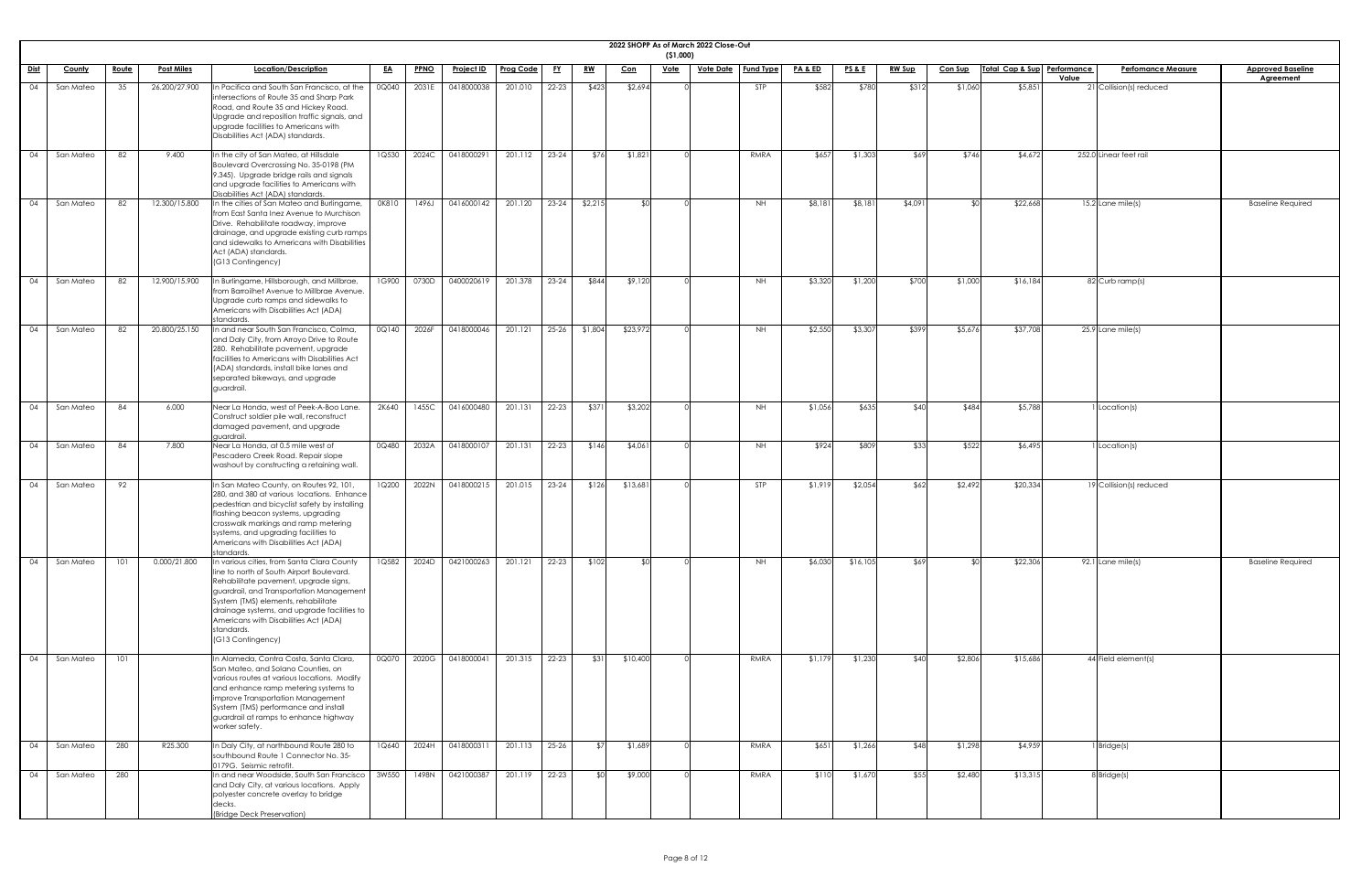|             | 2022 SHOPP As of March 2022 Close-Out<br>( \$1,000) |              |                   |                                                                                                                                                                                                                                                                                                                                                |           |             |                   |                  |           |                                                |            |             |                  |                  |                    |                 |               |                |                             |       |                           |                          |
|-------------|-----------------------------------------------------|--------------|-------------------|------------------------------------------------------------------------------------------------------------------------------------------------------------------------------------------------------------------------------------------------------------------------------------------------------------------------------------------------|-----------|-------------|-------------------|------------------|-----------|------------------------------------------------|------------|-------------|------------------|------------------|--------------------|-----------------|---------------|----------------|-----------------------------|-------|---------------------------|--------------------------|
| <u>Dist</u> | County                                              | <u>Route</u> | <b>Post Miles</b> | Location/Description                                                                                                                                                                                                                                                                                                                           | <u>EA</u> | <b>PPNO</b> | <u>Project ID</u> | <b>Prog Code</b> | <u>FY</u> | $\underline{\mathbf{R}}\underline{\mathbf{W}}$ | <u>Con</u> | <u>Vote</u> | <b>Vote Date</b> | <b>Fund Type</b> | <b>PA &amp; ED</b> | <u>PS&amp;E</u> | <b>RW Sup</b> | <b>Con Sup</b> | Total Cap & Sup Performance |       | <b>Perfomance Measure</b> | <b>Approved Baseline</b> |
| 04          | San Mateo                                           | 35           | 26.200/27.900     | In Pacifica and South San Francisco, at the<br>intersections of Route 35 and Sharp Park<br>Road, and Route 35 and Hickey Road.<br>Upgrade and reposition traffic signals, and<br>upgrade facilities to Americans with<br>Disabilities Act (ADA) standards.                                                                                     | 0Q040     | 2031E       | 0418000038        | 201.010          | 22-23     | \$423                                          | \$2,694    |             |                  | <b>STP</b>       | \$582              | \$780           | \$312         | \$1,060        | \$5,851                     | Value | 21 Collision(s) reduced   | Agreement                |
| 04          | San Mateo                                           | 82           | 9.400             | In the city of San Mateo, at Hillsdale<br>Boulevard Overcrossing No. 35-0198 (PM<br>9.345). Upgrade bridge rails and signals<br>and upgrade facilities to Americans with<br>Disabilities Act (ADA) standards.                                                                                                                                  | 1Q530     | 2024C       | 0418000291        | 201.112          | $23 - 24$ | \$76                                           | \$1,821    |             |                  | RMRA             | \$657              | \$1,303         | \$69          | \$746          | \$4,672                     |       | 252.0 Linear feet rail    |                          |
| 04          | San Mateo                                           | 82           | 12.300/15.800     | In the cities of San Mateo and Burlingame,<br>from East Santa Inez Avenue to Murchison<br>Drive. Rehabilitate roadway, improve<br>drainage, and upgrade existing curb ramps<br>and sidewalks to Americans with Disabilities<br>Act (ADA) standards.<br>(G13 Contingency)                                                                       | 0K810     | 1496J       | 0416000142        | 201.120          | $23 - 24$ | \$2,215                                        | ¢Λ         |             |                  | <b>NH</b>        | \$8,181            | \$8,181         | \$4,09        |                | \$22,668                    |       | $15.2$ Lane mile(s)       | <b>Baseline Required</b> |
| 04          | San Mateo                                           | 82           | 12.900/15.900     | In Burlingame, Hillsborough, and Millbrae,<br>from Barroilhet Avenue to Millbrae Avenue.<br>Upgrade curb ramps and sidewalks to<br>Americans with Disabilities Act (ADA)<br>standards.                                                                                                                                                         | 1G900     | 0730D       | 0400020619        | 201.378          | $23 - 24$ | \$844                                          | \$9,120    |             |                  | <b>NH</b>        | \$3,320            | \$1,200         | \$700         | \$1,000        | \$16,184                    |       | 82 Curb ramp(s)           |                          |
| 04          | San Mateo                                           | 82           | 20.800/25.150     | In and near South San Francisco, Colma,<br>and Daly City, from Arroyo Drive to Route<br>280. Rehabilitate pavement, upgrade<br>facilities to Americans with Disabilities Act<br>(ADA) standards, install bike lanes and<br>separated bikeways, and upgrade<br>guardrail.                                                                       | 0Q140     | 2026F       | 0418000046        | 201.121          | $25 - 26$ | \$1,804                                        | \$23,972   |             |                  | NH.              | \$2,550            | \$3,307         | \$399         | \$5,676        | \$37,708                    |       | $25.9$ Lane mile(s)       |                          |
| 04          | San Mateo                                           | 84           | 6.000             | Near La Honda, west of Peek-A-Boo Lane.<br>Construct soldier pile wall, reconstruct<br>damaged pavement, and upgrade<br>guardrail.                                                                                                                                                                                                             | 2K640     | 1455C       | 0416000480        | 201.131          | $22 - 23$ | \$371                                          | \$3,202    |             |                  | <b>NH</b>        | \$1,056            | \$635           | \$40          | \$484          | \$5,788                     |       | 1 Location(s)             |                          |
| 04          | San Mateo                                           | 84           | 7.800             | Near La Honda, at 0.5 mile west of<br>Pescadero Creek Road. Repair slope<br>washout by constructing a retaining wall.                                                                                                                                                                                                                          | 0Q480     | 2032A       | 0418000107        | 201.131          | $22 - 23$ | \$146                                          | \$4,061    |             |                  | <b>NH</b>        | \$924              | \$809           | \$33          | \$522          | \$6,495                     |       | 1 Location(s)             |                          |
| 04          | San Mateo                                           | 92           |                   | In San Mateo County, on Routes 92, 101,<br>280, and 380 at various locations. Enhance<br>pedestrian and bicyclist safety by installing<br>flashing beacon systems, upgrading<br>crosswalk markings and ramp metering<br>systems, and upgrading facilities to<br>Americans with Disabilities Act (ADA)<br>standards.                            | 1Q200     | 2022N       | 0418000215        | 201.015          | $23 - 24$ | \$126                                          | \$13,681   |             |                  | <b>STP</b>       | \$1,919            | \$2,054         | \$62          | \$2,492        | \$20,334                    |       | 19 Collision(s) reduced   |                          |
| 04          | San Mateo                                           | 101          | 0.000/21.800      | In various cities, from Santa Clara County<br>line to north of South Airport Boulevard.<br>Rehabilitate pavement, upgrade signs,<br>guardrail, and Transportation Management<br>System (TMS) elements, rehabilitate<br>drainage systems, and upgrade facilities to<br>Americans with Disabilities Act (ADA)<br>standards.<br>(G13 Contingency) | 1Q582     | 2024D       | 0421000263        | 201.121          | $22 - 23$ | \$102                                          |            |             |                  | <b>NH</b>        | \$6,030            | \$16,105        | \$69          |                | \$22,306                    |       | 92.1 Lane mile(s)         | <b>Baseline Required</b> |
| 04          | San Mateo                                           | 101          |                   | In Alameda, Contra Costa, Santa Clara,<br>San Mateo, and Solano Counties, on<br>various routes at various locations. Modify<br>and enhance ramp metering systems to<br>improve Transportation Management<br>System (TMS) performance and install<br>guardrail at ramps to enhance highway<br>worker safety.                                    | 0Q070     | 2020G       | 0418000041        | 201.315          | $22 - 23$ | \$31                                           | \$10,400   |             |                  | RMRA             | \$1,179            | \$1,230         | \$40          | \$2,806        | \$15,686                    |       | 44 Field element(s)       |                          |
| 04          | San Mateo                                           | 280          | R25.300           | In Daly City, at northbound Route 280 to<br>southbound Route 1 Connector No. 35-                                                                                                                                                                                                                                                               | 1Q640     |             | 2024H 0418000311  | 201.113          | $25 - 26$ | \$7                                            | \$1,689    |             |                  | RMRA             | \$651              | \$1,266         | \$48          | \$1,298        | \$4,959                     |       | $1$ Bridge(s)             |                          |
| 04          | San Mateo                                           | 280          |                   | 0179G. Seismic retrofit.<br>In and near Woodside, South San Francisco<br>and Daly City, at various locations. Apply<br>polyester concrete overlay to bridge<br>decks.                                                                                                                                                                          | 3W550     |             | 1498N 0421000387  | 201.119          | 22-23     | \$0                                            | \$9,000    |             |                  | RMRA             | \$110              | \$1,670         | \$55          | \$2,480        | \$13,315                    |       | 8 Bridge(s)               |                          |
|             |                                                     |              |                   | (Bridge Deck Preservation)                                                                                                                                                                                                                                                                                                                     |           |             |                   |                  |           |                                                |            |             |                  |                  |                    |                 |               |                |                             |       |                           |                          |

| ì   |  |
|-----|--|
|     |  |
|     |  |
|     |  |
|     |  |
|     |  |
|     |  |
|     |  |
|     |  |
|     |  |
|     |  |
|     |  |
|     |  |
|     |  |
|     |  |
|     |  |
|     |  |
|     |  |
|     |  |
|     |  |
|     |  |
|     |  |
|     |  |
|     |  |
|     |  |
|     |  |
|     |  |
|     |  |
| ֚֘֝ |  |
|     |  |
|     |  |
|     |  |
|     |  |
|     |  |
|     |  |
|     |  |
|     |  |
|     |  |
|     |  |
|     |  |
|     |  |
|     |  |
|     |  |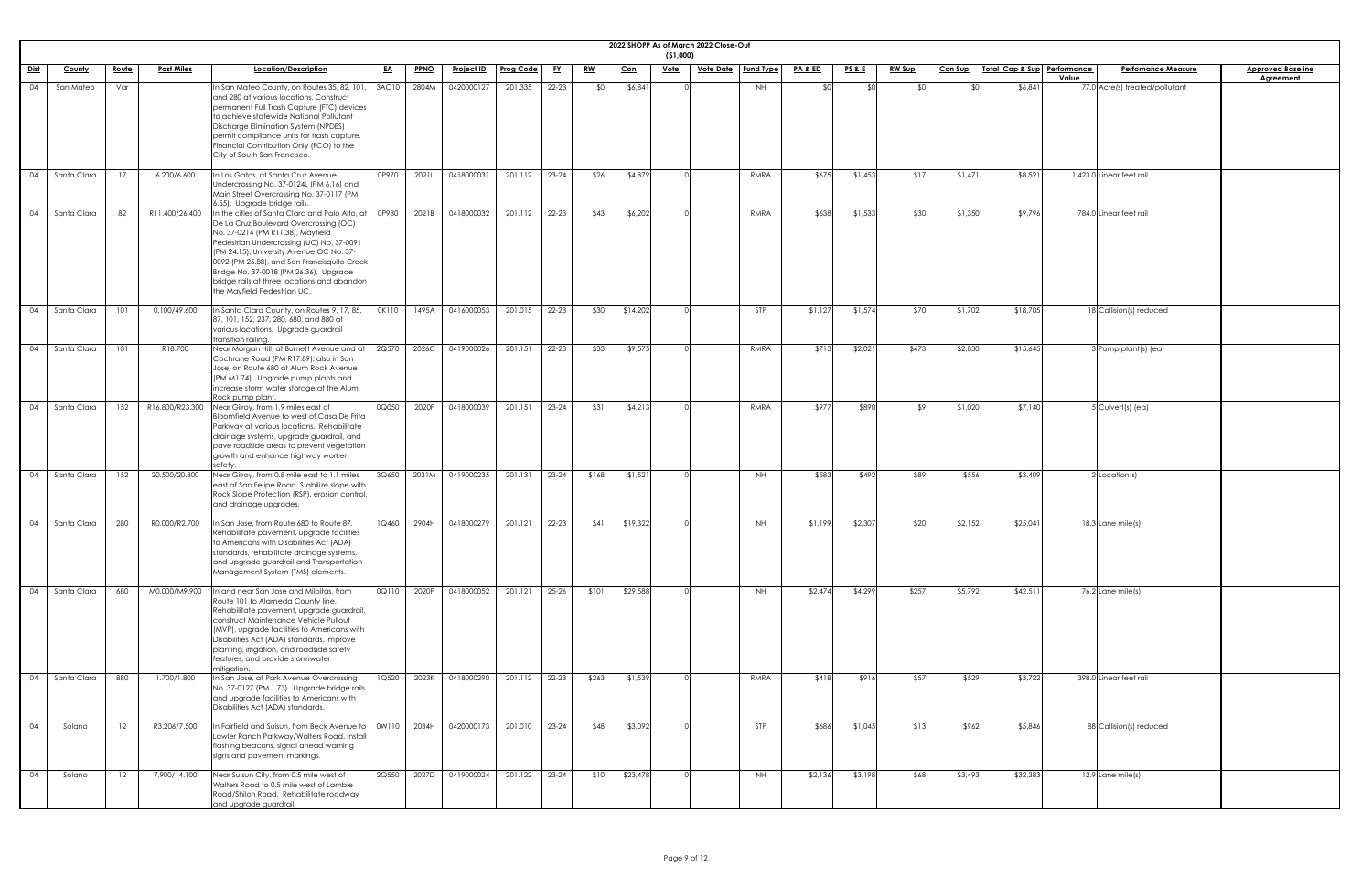|             | 2022 SHOPP As of March 2022 Close-Out<br>(51,000)<br>Total Cap & Sup Performance<br><u>Vote Date   Fund Type</u> |                   |                   |                                                                                                                                                                                                                                                                                                                                                                                               |           |             |                   |                  |           |           |            |             |  |           |                    |                 |               |                |    |          |                                    |                          |
|-------------|------------------------------------------------------------------------------------------------------------------|-------------------|-------------------|-----------------------------------------------------------------------------------------------------------------------------------------------------------------------------------------------------------------------------------------------------------------------------------------------------------------------------------------------------------------------------------------------|-----------|-------------|-------------------|------------------|-----------|-----------|------------|-------------|--|-----------|--------------------|-----------------|---------------|----------------|----|----------|------------------------------------|--------------------------|
| <u>Dist</u> | <b>County</b>                                                                                                    | Route             | <b>Post Miles</b> | Location/Description                                                                                                                                                                                                                                                                                                                                                                          | <u>EA</u> | <b>PPNO</b> | <b>Project ID</b> | <b>Prog Code</b> | <u>FY</u> | <u>RW</u> | <u>Con</u> | <u>Vote</u> |  |           | <b>PA &amp; ED</b> | <b>PS&amp;E</b> | <u>RW Sup</u> | <u>Con Sup</u> |    |          | <b>Perfomance Measure</b><br>Value | <b>Approved Baseline</b> |
| 04          | San Mateo                                                                                                        | Var               |                   | In San Mateo County, on Routes 35, 82, 101,<br>and 280 at various locations. Construct<br>permanent Full Trash Capture (FTC) devices<br>to achieve statewide National Pollutant<br>Discharge Elimination System (NPDES)<br>permit compliance units for trash capture.<br>Financial Contribution Only (FCO) to the<br>City of South San Francisco.                                             | 3AC10     | 2804M       | 0420000127        | 201.335          | $22 - 23$ | ላ ተ       | \$6,841    |             |  | <b>NH</b> | - ⊄∩               | ୍ୟଠା            |               |                | ¢Λ | \$6,841  | 77.0 Acre(s) treated/pollutant     | <b>Agreement</b>         |
| 04          | Santa Clara                                                                                                      |                   | 6.200/6.600       | In Los Gatos, at Santa Cruz Avenue<br>Undercrossing No. 37-0124L (PM 6.16) and<br>Main Street Overcrossing No. 37-0117 (PM<br>6.55). Upgrade bridge rails.                                                                                                                                                                                                                                    | 0P970     | 2021L       | 0418000031        | 201.112          | $23 - 24$ | \$26      | \$4,879    |             |  | RMRA      | \$675              | \$1,453         | \$17          | \$1,471        |    | \$8,521  | 1,423.0 Linear feet rail           |                          |
|             | Santa Clara                                                                                                      | 82                | R11.400/26.400    | In the cities of Santa Clara and Palo Alto, at<br>De La Cruz Boulevard Overcrossing (OC)<br>No. 37-0214 (PM R11.38), Mayfield<br>Pedestrian Undercrossing (UC) No. 37-0091<br>(PM 24.15), University Avenue OC No. 37-<br>0092 (PM 25.88), and San Francisquito Creek<br>Bridge No. 37-0018 (PM 26.36). Upgrade<br>bridge rails at three locations and abandon<br>the Mayfield Pedestrian UC. | 0P980     | 2021B       | 0418000032        | 201.112          | $22 - 23$ | \$43      | \$6,202    |             |  | RMRA      | \$638              | \$1,533         | \$30          | \$1,350        |    | \$9,796  | 784.0 Linear feet rail             |                          |
| 04          | Santa Clara                                                                                                      | 101               | 0.100/49.600      | In Santa Clara County, on Routes 9, 17, 85,<br>87, 101, 152, 237, 280, 680, and 880 at<br>various locations. Upgrade guardrail<br>transition railing.                                                                                                                                                                                                                                         | OK110     | 1495A       | 0416000053        | 201.015          | 22-23     | \$30      | \$14,202   |             |  | STP       | \$1,127            | \$1,574         | \$70          | \$1,702        |    | \$18,705 | 18 Collision(s) reduced            |                          |
| 04          | Santa Clara                                                                                                      | 101               | R18.700           | Near Morgan Hill, at Burnett Avenue and at<br>Cochrane Road (PM R17.89); also in San<br>Jose, on Route 680 at Alum Rock Avenue<br>(PM M1.74). Upgrade pump plants and<br>increase storm water storage at the Alum<br>Rock pump plant.                                                                                                                                                         | 2Q570     | 2026C       | 0419000026        | 201.151          | $22 - 23$ | \$33      | \$9,575    |             |  | RMRA      | \$713              | \$2,021         | \$473         | \$2,830        |    | \$15,645 | 3 Pump plant(s) (ea)               |                          |
| 04          | Santa Clara                                                                                                      | 152               | R16.800/R23.300   | Near Gilroy, from 1.9 miles east of<br>Bloomfield Avenue to west of Casa De Frita<br>Parkway at various locations. Rehabilitate<br>drainage systems, upgrade guardrail, and<br>pave roadside areas to prevent vegetation<br>growth and enhance highway worker<br>safety                                                                                                                       | 0Q050     | 2020F       | 0418000039        | 201.151          | $23 - 24$ | \$31      | \$4,213    |             |  | RMRA      | \$977              | \$890           |               | \$1,020        |    | \$7,140  | $5$ Culvert(s) (ea)                |                          |
| 04          | Santa Clara                                                                                                      | 152               | 20.500/20.800     | Near Gilroy, from 0.8 mile east to 1.1 miles<br>east of San Felipe Road. Stabilize slope with<br>Rock Slope Protection (RSP), erosion control,<br>and drainage upgrades.                                                                                                                                                                                                                      | 3Q650     | 2031M       | 0419000235        | 201.131          | $23 - 24$ | \$168     | \$1,521    |             |  | <b>NH</b> | \$583              | \$492           | \$89          | \$556          |    | \$3,409  | $2$ Location(s)                    |                          |
| 04          | Santa Clara                                                                                                      | 280               | R0.000/R2.700     | In San Jose, from Route 680 to Route 87.<br>Rehabilitate pavement, upgrade facilities<br>to Americans with Disabilities Act (ADA)<br>standards, rehabilitate drainage systems,<br>and upgrade guardrail and Transportation<br>Management System (TMS) elements.                                                                                                                               | 1Q460     | 2904H       | 0418000279        | 201.121          | $22 - 23$ | \$41]     | \$19,322   |             |  | <b>NH</b> | \$1,199            | \$2,307         | \$20          | \$2,152        |    | \$25,041 | $18.3$ Lane mile(s)                |                          |
| 04          | Santa Clara                                                                                                      | 680               | M0.000/M9.900     | In and near San Jose and Milpitas, from<br>Route 101 to Alameda County line.<br>Rehabilitate pavement, upgrade guardrail,<br>construct Maintenance Vehicle Pullout<br>(MVP), upgrade facilities to Americans with<br>Disabilities Act (ADA) standards, improve<br>planting, irrigation, and roadside safety<br>features, and provide stormwater<br>mitigation.                                | 0Q110     | 2020P       | 0418000052        | 201.121          | $25 - 26$ | \$101     | \$29,588   |             |  | <b>NH</b> | \$2,474            | \$4,299         | \$257         | \$5,792        |    | \$42,511 | 76.2 Lane mile(s)                  |                          |
| 04          | Santa Clara                                                                                                      | 880               | 1.700/1.800       | In San Jose, at Park Avenue Overcrossing<br>No. 37-0127 (PM 1.73). Upgrade bridge rails<br>and upgrade facilities to Americans with<br>Disabilities Act (ADA) standards.                                                                                                                                                                                                                      | 1Q520     | 2023K       | 0418000290        | 201.112          | $22 - 23$ | \$263     | \$1,539    |             |  | RMRA      | \$418              | \$916           | \$57          | \$529          |    | \$3,722  | 398.0 Linear feet rail             |                          |
| 04          | Solano                                                                                                           | 12                | R3.206/7.500      | In Fairfield and Suisun, from Beck Avenue to<br>Lawler Ranch Parkway/Walters Road. Install<br>flashing beacons, signal ahead warning<br>signs and pavement markings.                                                                                                                                                                                                                          | 0W110     | 2034H       | 0420000173        | 201.010          | $23 - 24$ | \$48      | \$3,092    |             |  | STP       | \$686              | \$1,045         | \$13          | \$962          |    | \$5,846  | 88 Collision(s) reduced            |                          |
| 04          | Solano                                                                                                           | $12 \overline{ }$ | 7.900/14.100      | Near Suisun City, from 0.5 mile west of<br>Walters Road to 0.5 mile west of Lambie<br>Road/Shiloh Road. Rehabilitate roadway<br>and upgrade guardrail.                                                                                                                                                                                                                                        | 2Q550     | 2027D       | 0419000024        | 201.122          | $23 - 24$ | \$10      | \$23,478   |             |  | <b>NH</b> | \$2,136            | \$3,198         | \$68          | \$3,493        |    | \$32,383 | $12.9$ Lane mile(s)                |                          |

| <u>ine</u><br>≀ |  |
|-----------------|--|
|                 |  |
|                 |  |
|                 |  |
|                 |  |
|                 |  |
|                 |  |
|                 |  |
|                 |  |
|                 |  |
|                 |  |
|                 |  |
|                 |  |
|                 |  |
|                 |  |
|                 |  |
|                 |  |
|                 |  |
|                 |  |
|                 |  |
|                 |  |
|                 |  |
|                 |  |
|                 |  |
|                 |  |
|                 |  |
|                 |  |
|                 |  |
|                 |  |
|                 |  |
|                 |  |
|                 |  |
|                 |  |
|                 |  |
|                 |  |
|                 |  |
|                 |  |
|                 |  |
|                 |  |
|                 |  |
|                 |  |
|                 |  |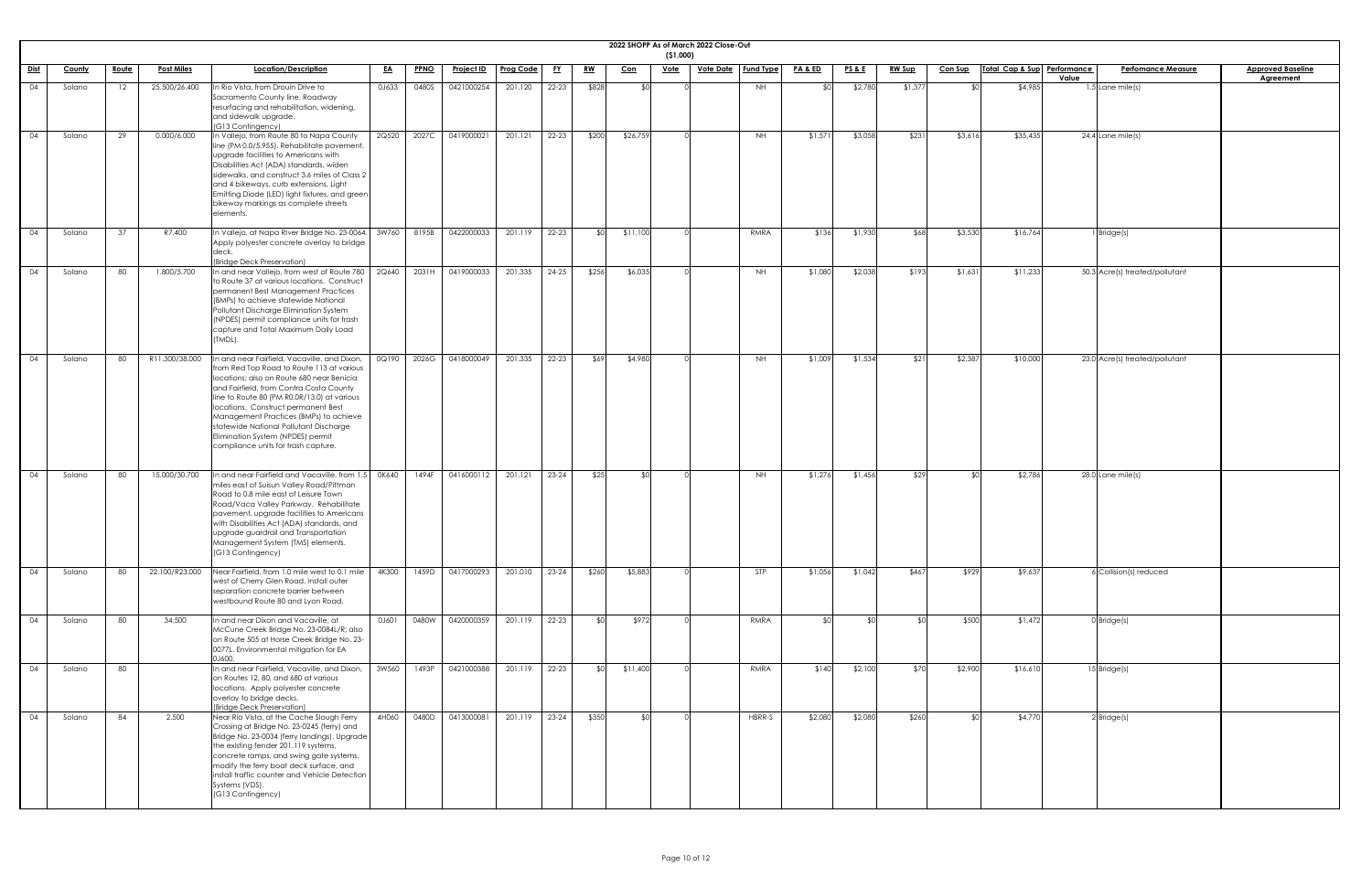| 2022 SHOPP As of March 2022 Close-Out<br>(51,000) |        |              |                   |                                                                                                                                                                                                                                                                                                                                                                                                                                         |           |             |                   |                  |           |           |            |             |                  |                  |                    |                 |               |                 |                             |                                    |                                              |
|---------------------------------------------------|--------|--------------|-------------------|-----------------------------------------------------------------------------------------------------------------------------------------------------------------------------------------------------------------------------------------------------------------------------------------------------------------------------------------------------------------------------------------------------------------------------------------|-----------|-------------|-------------------|------------------|-----------|-----------|------------|-------------|------------------|------------------|--------------------|-----------------|---------------|-----------------|-----------------------------|------------------------------------|----------------------------------------------|
| <u>Dist</u>                                       | County | <u>Route</u> | <b>Post Miles</b> | Location/Description                                                                                                                                                                                                                                                                                                                                                                                                                    | <u>EA</u> | <b>PPNO</b> | <u>Project ID</u> | <b>Prog Code</b> | <u>FY</u> | <u>RW</u> | <u>Con</u> | <b>Vote</b> | <u>Vote Date</u> | <b>Fund Type</b> | <u>PA &amp; ED</u> | <u>PS&amp;E</u> | <b>RW Sup</b> | <b>Con Sup</b>  | Total Cap & Sup Performance | <b>Perfomance Measure</b><br>Value | <b>Approved Baseline</b><br><b>Agreement</b> |
| 04                                                | Solano | 12           | 25.500/26.400     | In Rio Vista, from Drouin Drive to<br>Sacramento County line. Roadway<br>resurfacing and rehabilitation, widening,<br>and sidewalk upgrade.<br>(G13 Contingency)                                                                                                                                                                                                                                                                        | 0J633     | 0480S       | 0421000254        | 201.120          | 22-23     | \$828     | \$0        |             |                  | NH               |                    | \$2,780         | \$1,37        | ≮∩।             | \$4,985                     | 1.5 Lane mile(s)                   |                                              |
| 04                                                | Solano | 29           | 0.000/6.000       | In Vallejo, from Route 80 to Napa County<br>line (PM 0.0/5.955). Rehabilitate pavement,<br>upgrade facilities to Americans with<br>Disabilities Act (ADA) standards, widen<br>sidewalks, and construct 3.6 miles of Class 2<br>and 4 bikeways, curb extensions, Light<br>Emitting Diode (LED) light fixtures, and green<br>bikeway markings as complete streets<br>elements.                                                            | 2Q520     | 2027C       | 0419000021        | 201.121          | 22-23     | \$200     | \$26,759   |             |                  | <b>NH</b>        | \$1,571            | \$3,058         | \$231         | \$3,616         | \$35,435                    | $24.4$ Lane mile(s)                |                                              |
| 04                                                | Solano | 37           | R7.400            | In Vallejo, at Napa RIver Bridge No. 23-0064.<br>Apply polyester concrete overlay to bridge<br>ldeck.<br>(Bridge Deck Preservation)                                                                                                                                                                                                                                                                                                     | 3W760     | 8195B       | 0422000033        | 201.119          | 22-23     |           | \$11,100   |             |                  | RMRA             | \$136              | \$1,930         | \$68          | \$3,530         | \$16,764                    | Bridge(s)                          |                                              |
| 04                                                | Solano | 80           | 1.800/5.700       | In and near Vallejo, from west of Route 780<br>to Route 37 at various locations. Construct<br>permanent Best Management Practices<br>(BMPs) to achieve statewide National<br>Pollutant Discharge Elimination System<br>(NPDES) permit compliance units for trash<br>capture and Total Maximum Daily Load<br>(TMDL).                                                                                                                     | 2Q640     | 2031H       | 0419000033        | 201.335          | $24 - 25$ | \$256     | \$6,035    |             |                  | NH               | \$1,080            | \$2,038         | \$193         | \$1,631         | \$11,233                    | 50.3 Acre(s) treated/pollutant     |                                              |
| 04                                                | Solano | 80           | R11.300/38.000    | In and near Fairfield, Vacaville, and Dixon,<br>from Red Top Road to Route 113 at various<br>locations; also on Route 680 near Benicia<br>and Fairfield, from Contra Costa County<br>line to Route 80 (PM R0.0R/13.0) at various<br>locations. Construct permanent Best<br>Management Practices (BMPs) to achieve<br>statewide National Pollutant Discharge<br>Elimination System (NPDES) permit<br>compliance units for trash capture. | 0Q190     | 2026G       | 0418000049        | 201.335          | $22 - 23$ | \$69      | \$4,980    |             |                  | NH.              | \$1,009            | \$1,534         | \$21          | \$2,387         | \$10,000                    | 23.0 Acre(s) treated/pollutant     |                                              |
| 04                                                | Solano | 80           | 15.000/30.700     | In and near Fairfield and Vacaville, from 1.5<br>miles east of Suisun Valley Road/Pittman<br>Road to 0.8 mile east of Leisure Town<br>Road/Vaca Valley Parkway. Rehabilitate<br>pavement, upgrade facilities to Americans<br>with Disabilities Act (ADA) standards, and<br>upgrade guardrail and Transportation<br>Management System (TMS) elements.<br>(G13 Contingency)                                                               | 0K640     | 1494F       | 0416000112        | 201.121          | $23 - 24$ | \$25      | -\$∩I      |             |                  | NH               | \$1,276            | \$1,456         | \$29          | ¶∩≵             | \$2,786                     | 28.0 Lane mile(s)                  |                                              |
| 04                                                | Solano | 80           | 22.100/R23.000    | Near Fairfield, from 1.0 mile west to 0.1 mile<br>west of Cherry Glen Road. Install outer<br>separation concrete barrier between<br>westbound Route 80 and Lyon Road.                                                                                                                                                                                                                                                                   | 4K300     | 1459D       | 0417000293        | 201.010          | $23 - 24$ | \$260     | \$5,883    |             |                  | STP              | \$1,056            | \$1,042         | \$467         | \$929           | \$9,637                     | $6$ Collision(s) reduced           |                                              |
| 04                                                | Solano | 80           | 34.500            | In and near Dixon and Vacaville, at<br>McCune Creek Bridge No. 23-0084L/R; also<br>on Route 505 at Horse Creek Bridge No. 23-<br>0077L. Environmental mitigation for EA<br>0J600.                                                                                                                                                                                                                                                       | 0J601     | 0480W       | 0420000359        | 201.119          | $22 - 23$ | SO        | \$972      |             |                  | RMRA             | \$0                | ⊀∩∣             |               | \$500           | \$1,472                     | $0$ Bridge $(s)$                   |                                              |
| 04                                                | Solano | 80           |                   | In and near Fairfield, Vacaville, and Dixon,<br>on Routes 12, 80, and 680 at various<br>locations. Apply polyester concrete<br>overlay to bridge decks.<br>(Bridge Deck Preservation)                                                                                                                                                                                                                                                   | 3W560     | 1493P       | 0421000388        | 201.119          | $22 - 23$ | ዳር        | \$11,400   |             |                  | RMRA             | \$140              | \$2,100         | \$70          | \$2,900         | \$16,610                    | $15$ Bridge(s)                     |                                              |
| 04                                                | Solano | 84           | 2.500             | Near Rio Vista, at the Cache Slough Ferry<br>Crossing at Bridge No. 23-0245 (ferry) and<br>Bridge No. 23-0034 (ferry landings). Upgrade<br>the existing fender 201.119 systems,<br>concrete ramps, and swing gate systems,<br>modify the ferry boat deck surface, and<br>install traffic counter and Vehicle Detection<br>Systems (VDS).<br>(G13 Contingency)                                                                           | 4H060     | 0480D       | 0413000081        | 201.119          | 23-24     | \$350     | \$0        |             |                  | HBRR-S           | \$2,080            | \$2,080         | \$260         | SO <sub>2</sub> | \$4,770                     | $2$ Bridge(s)                      |                                              |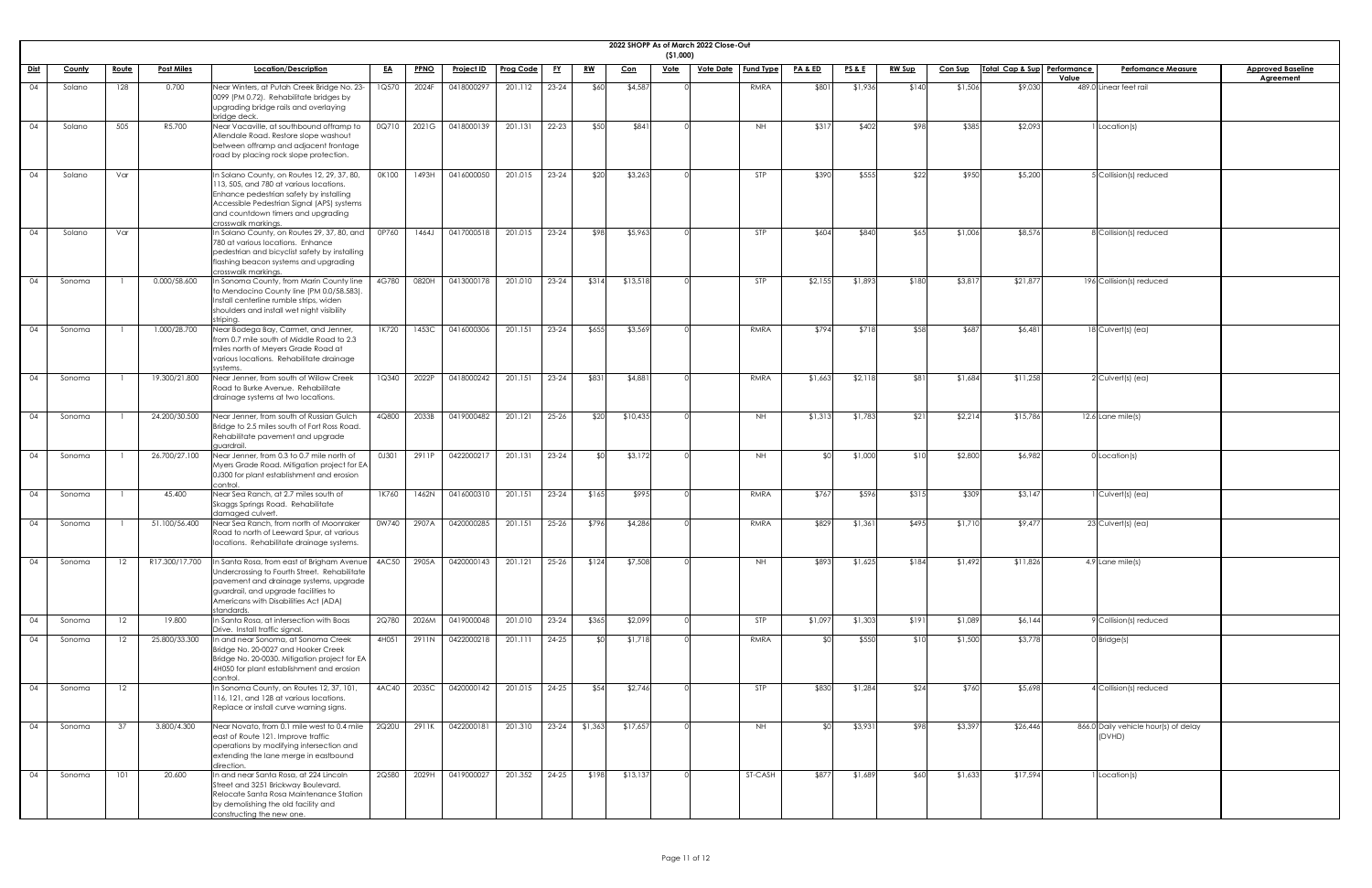| 2022 SHOPP As of March 2022 Close-Out<br>(51,000) |               |              |                   |                                                                                                                                                                                                                                              |           |             |                   |                  |           |            |            |             |                  |                  |                    |                 |               |                |                             |                                                |                                              |
|---------------------------------------------------|---------------|--------------|-------------------|----------------------------------------------------------------------------------------------------------------------------------------------------------------------------------------------------------------------------------------------|-----------|-------------|-------------------|------------------|-----------|------------|------------|-------------|------------------|------------------|--------------------|-----------------|---------------|----------------|-----------------------------|------------------------------------------------|----------------------------------------------|
| <u>Dist</u>                                       | <b>County</b> | <u>Route</u> | <b>Post Miles</b> | Location/Description                                                                                                                                                                                                                         | <u>EA</u> | <b>PPNO</b> | <u>Project ID</u> | <b>Prog Code</b> | <u>FY</u> | <u>RW</u>  | <u>Con</u> | <u>Vote</u> | <u>Vote Date</u> | <b>Fund Type</b> | <u>PA &amp; ED</u> | <u>PS&amp;E</u> | <u>RW Sup</u> | <b>Con Sup</b> | Total Cap & Sup Performance | <b>Perfomance Measure</b><br>Value             | <b>Approved Baseline</b><br><b>Agreement</b> |
| 04                                                | Solano        | 128          | 0.700             | Near Winters, at Putah Creek Bridge No. 23-<br>0099 (PM 0.72). Rehabilitate bridges by<br>upgrading bridge rails and overlaying<br>bridge deck.                                                                                              | 1Q570     | 2024F       | 0418000297        | 201.112          | $23 - 24$ | \$60       | \$4,587    |             |                  | RMRA             | \$801              | \$1,936         | \$140         | \$1,506        | \$9,030                     | 489.0 Linear feet rail                         |                                              |
| 04                                                | Solano        | 505          | R5.700            | Near Vacaville, at southbound offramp to<br>Allendale Road. Restore slope washout<br>between offramp and adjacent frontage<br>road by placing rock slope protection.                                                                         | 0Q710     | 2021G       | 0418000139        | 201.131          | $22 - 23$ | \$50       | \$841      |             |                  | <b>NH</b>        | \$317              | \$402           | \$98          | \$385          | \$2,093                     | I Location(s)                                  |                                              |
| 04                                                | Solano        | Var          |                   | In Solano County, on Routes 12, 29, 37, 80,<br>113, 505, and 780 at various locations.<br>Enhance pedestrian safety by installing<br>Accessible Pedestrian Signal (APS) systems<br>and countdown timers and upgrading<br>crosswalk markings. | OK100     | 1493H       | 0416000050        | 201.015          | $23 - 24$ | \$20       | \$3,263    |             |                  | STP              | \$390              | \$555           | \$22          | \$950          | \$5,200                     | 5 Collision(s) reduced                         |                                              |
| 04                                                | Solano        | Var          |                   | In Solano County, on Routes 29, 37, 80, and<br>780 at various locations. Enhance<br>pedestrian and bicyclist safety by installing<br>flashing beacon systems and upgrading<br>crosswalk markings.                                            | 0P760     | 1464J       | 0417000518        | 201.015          | $23 - 24$ | \$98       | \$5,963    |             |                  | STP              | \$604              | \$840           | \$65          | \$1,006        | \$8,576                     | 8 Collision(s) reduced                         |                                              |
| 04                                                | Sonoma        |              | 0.000/58.600      | In Sonoma County, from Marin County line<br>to Mendocino County line (PM 0.0/58.583).<br>Install centerline rumble strips, widen<br>shoulders and install wet night visibility<br>striping                                                   | 4G780     | 0820H       | 0413000178        | 201.010          | $23 - 24$ | \$314      | \$13,518   |             |                  | STP              | \$2,155            | \$1,893         | \$180         | \$3,817        | \$21,877                    | 196 Collision(s) reduced                       |                                              |
| 04                                                | Sonoma        |              | 1.000/28.700      | Near Bodega Bay, Carmet, and Jenner,<br>from 0.7 mile south of Middle Road to 2.3<br>miles north of Meyers Grade Road at<br>various locations. Rehabilitate drainage<br>systems.                                                             | 1K720     | 1453C       | 0416000306        | 201.151          | $23 - 24$ | \$655      | \$3,569    |             |                  | RMRA             | \$794              | \$718           | \$58          | \$687          | \$6,481                     | $18$ Culvert(s) (ea)                           |                                              |
| 04                                                | Sonoma        |              | 19.300/21.800     | Near Jenner, from south of Willow Creek<br>Road to Burke Avenue. Rehabilitate<br>drainage systems at two locations.                                                                                                                          | 1Q340     | 2022P       | 0418000242        | 201.151          | $23 - 24$ | \$831      | \$4,881    |             |                  | RMRA             | \$1,663            | \$2,118         | \$81          | \$1,684        | \$11,258                    | $2$ Culvert(s) (ea)                            |                                              |
| 04                                                | Sonoma        |              | 24.200/30.500     | Near Jenner, from south of Russian Gulch<br>Bridge to 2.5 miles south of Fort Ross Road<br>Rehabilitate pavement and upgrade<br>quardrail.                                                                                                   | 4Q800     | 2033B       | 0419000482        | 201.121          | $25 - 26$ | \$20       | \$10,435   |             |                  | NH               | \$1,313            | \$1,783         | \$21          | \$2,214        | \$15,786                    | $12.6$ Lane mile(s)                            |                                              |
| 04                                                | Sonoma        |              | 26.700/27.100     | Near Jenner, from 0.3 to 0.7 mile north of<br>Myers Grade Road. Mitigation project for EA<br>0J300 for plant establishment and erosion<br>control                                                                                            | 0J301     | 2911F       | 042200021         | 201.131          | $23 - 24$ |            | \$3,172    |             |                  | <b>NH</b>        |                    | \$1,000         |               | \$2,800        | \$6,982                     | $0$ Location(s)                                |                                              |
| 04                                                | Sonoma        |              | 45.400            | Near Sea Ranch, at 2.7 miles south of<br>Skaggs Springs Road. Rehabilitate<br>damaged culvert.                                                                                                                                               | 1K760     | 1462N       | 0416000310        | 201.151          | $23 - 24$ | \$165      | \$995      |             |                  | RMRA             | \$767              | \$596           | \$315         | \$309          | \$3,147                     | Culvert(s) (ea)                                |                                              |
| 04                                                | Sonoma        |              | 51.100/56.400     | Near Sea Ranch, from north of Moonraker<br>Road to north of Leeward Spur, at various<br>locations. Rehabilitate drainage systems.                                                                                                            | 0W740     | 2907A       | 0420000285        | 201.151          | $25 - 26$ | \$796      | \$4,286    |             |                  | RMRA             | \$829              | \$1,361         | \$495         | \$1,710        | \$9,477                     | $23$ Culvert(s) (ea)                           |                                              |
| 04                                                | Sonoma        | 12           | R17.300/17.700    | n Santa Rosa, from east of Brigham Avenue<br>Undercrossing to Fourth Street. Rehabilitate<br>pavement and drainage systems, upgrade<br>guardrail, and upgrade facilities to<br>Americans with Disabilities Act (ADA)<br>standards.           | 4AC50     | 2905A       | 0420000143        | 201.121          | $25 - 26$ | \$124      | \$7,508    |             |                  | <b>NH</b>        | \$893              | \$1,625         | \$184         | \$1,492        | \$11,826                    | 4.9 Lane mile(s)                               |                                              |
| 04                                                | Sonoma        | 12           | 19.800            | In Santa Rosa, at intersection with Boas<br>Drive. Install traffic signal.                                                                                                                                                                   | 2Q780     | 2026M       | 0419000048        | 201.010          | $23 - 24$ | \$365      | \$2,099    |             |                  | <b>STP</b>       | \$1,097            | \$1,303         | \$191         | \$1,089        | \$6,144                     | 9 Collision(s) reduced                         |                                              |
| 04                                                | Sonoma        | 12           | 25.800/33.300     | In and near Sonoma, at Sonoma Creek<br>Bridge No. 20-0027 and Hooker Creek<br>Bridge No. 20-0030. Mitigation project for EA<br>4H050 for plant establishment and erosion<br>control.                                                         | 4H051     | 2911N       | 0422000218        | 201.111          | $24 - 25$ | <b>\$C</b> | \$1,718    |             |                  | RMRA             |                    | \$550           | \$10          | \$1,500        | \$3,778                     | $0$ Bridge(s)                                  |                                              |
| 04                                                | Sonoma        | 12           |                   | In Sonoma County, on Routes 12, 37, 101,<br>116, 121, and 128 at various locations.<br>Replace or install curve warning signs.                                                                                                               | 4AC40     | 2035C       | 0420000142        | 201.015          | $24 - 25$ | \$54       | \$2,746    |             |                  | STP              | \$830              | \$1,284         | \$24          | \$760          | \$5,698                     | $4$ Collision(s) reduced                       |                                              |
| 04                                                | Sonoma        | .37          | 3.800/4.300       | Near Novato, from 0.1 mile west to 0.4 mile<br>east of Route 121. Improve traffic<br>operations by modifying intersection and<br>extending the lane merge in eastbound<br>direction.                                                         | 2Q20U     | 2911K       | 0422000181        | 201.310          | $23-24$   | \$1,363    | \$17,657   |             |                  | NH.              | ና በ                | \$3,931         | \$98          | \$3,397        | \$26,446                    | 866.0 Daily vehicle hour(s) of delay<br>(DVHD) |                                              |
| 04                                                | Sonoma        | 101          | 20.600            | In and near Santa Rosa, at 224 Lincoln<br>Street and 3251 Brickway Boulevard.<br>Relocate Santa Rosa Maintenance Station<br>by demolishing the old facility and<br>constructing the new one.                                                 | 2Q580     | 2029H       | 0419000027        | 201.352          | $24 - 25$ | \$198      | \$13,137   |             |                  | ST-CASH          | \$877              | \$1,689         | \$60          | \$1,633        | \$17,594                    | I Location(s)                                  |                                              |

| <u>ine</u> |  |
|------------|--|
|            |  |
|            |  |
|            |  |
|            |  |
|            |  |
|            |  |
|            |  |
|            |  |
|            |  |
|            |  |
|            |  |
|            |  |
|            |  |
|            |  |
|            |  |
|            |  |
|            |  |
|            |  |
|            |  |
|            |  |
|            |  |
|            |  |
|            |  |
|            |  |
|            |  |
|            |  |
|            |  |
|            |  |
|            |  |
|            |  |
|            |  |
|            |  |
|            |  |
|            |  |
|            |  |
|            |  |
|            |  |
|            |  |
|            |  |